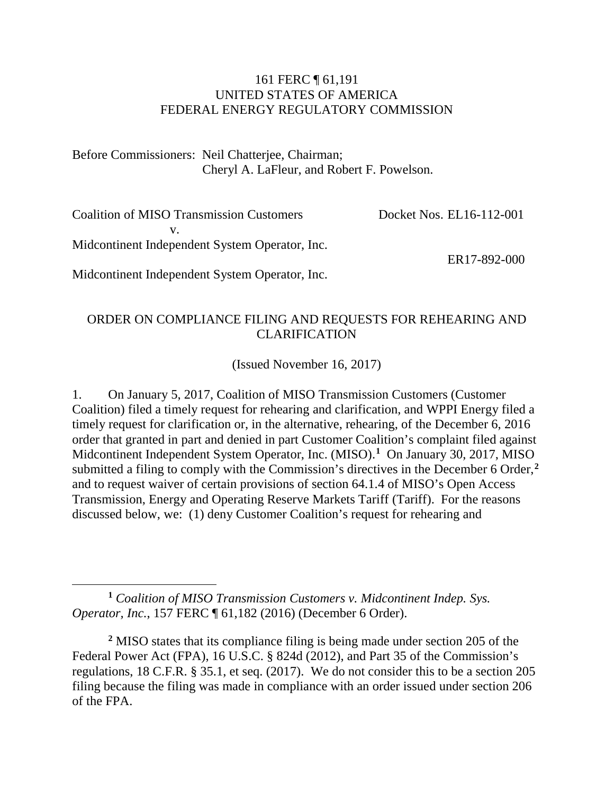#### 161 FERC ¶ 61,191 UNITED STATES OF AMERICA FEDERAL ENERGY REGULATORY COMMISSION

Before Commissioners: Neil Chatterjee, Chairman; Cheryl A. LaFleur, and Robert F. Powelson.

Coalition of MISO Transmission Customers v. Midcontinent Independent System Operator, Inc. Docket Nos. EL16-112-001 ER17-892-000

Midcontinent Independent System Operator, Inc.

#### ORDER ON COMPLIANCE FILING AND REQUESTS FOR REHEARING AND CLARIFICATION

(Issued November 16, 2017)

1. On January 5, 2017, Coalition of MISO Transmission Customers (Customer Coalition) filed a timely request for rehearing and clarification, and WPPI Energy filed a timely request for clarification or, in the alternative, rehearing, of the December 6, 2016 order that granted in part and denied in part Customer Coalition's complaint filed against Midcontinent Independent System Operator, Inc. (MISO).**[1](#page-0-0)** On January 30, 2017, MISO submitted a filing to comply with the Commission's directives in the December 6 Order,**[2](#page-0-1)** and to request waiver of certain provisions of section 64.1.4 of MISO's Open Access Transmission, Energy and Operating Reserve Markets Tariff (Tariff). For the reasons discussed below, we: (1) deny Customer Coalition's request for rehearing and

<span id="page-0-0"></span> $\overline{a}$ **<sup>1</sup>** *Coalition of MISO Transmission Customers v. Midcontinent Indep. Sys. Operator, Inc.*, 157 FERC ¶ 61,182 (2016) (December 6 Order).

<span id="page-0-1"></span>**<sup>2</sup>** MISO states that its compliance filing is being made under section 205 of the Federal Power Act (FPA), 16 U.S.C. § 824d (2012), and Part 35 of the Commission's regulations, 18 C.F.R. § 35.1, et seq. (2017). We do not consider this to be a section 205 filing because the filing was made in compliance with an order issued under section 206 of the FPA.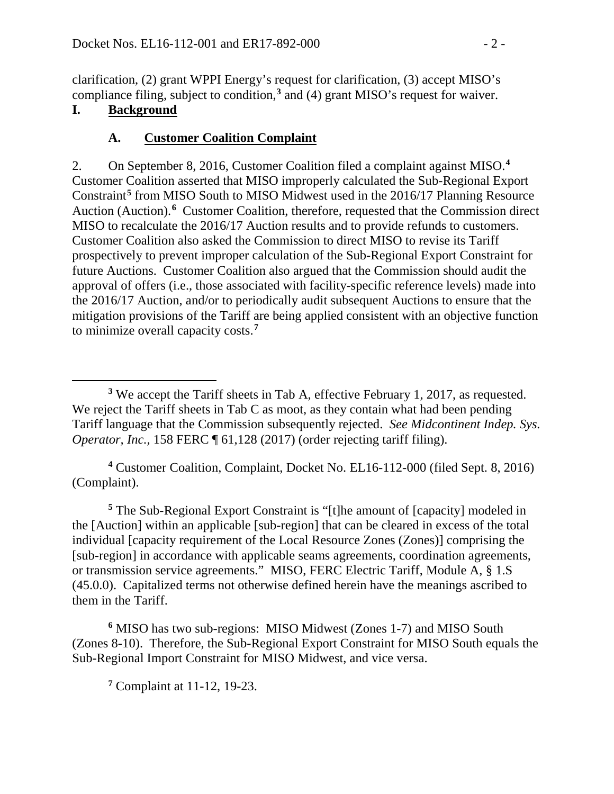clarification, (2) grant WPPI Energy's request for clarification, (3) accept MISO's compliance filing, subject to condition,**[3](#page-1-0)** and (4) grant MISO's request for waiver.

# **I. Background**

# **A. Customer Coalition Complaint**

2. On September 8, 2016, Customer Coalition filed a complaint against MISO.**[4](#page-1-1)** Customer Coalition asserted that MISO improperly calculated the Sub-Regional Export Constraint**[5](#page-1-2)** from MISO South to MISO Midwest used in the 2016/17 Planning Resource Auction (Auction).<sup>[6](#page-1-3)</sup> Customer Coalition, therefore, requested that the Commission direct MISO to recalculate the 2016/17 Auction results and to provide refunds to customers. Customer Coalition also asked the Commission to direct MISO to revise its Tariff prospectively to prevent improper calculation of the Sub-Regional Export Constraint for future Auctions. Customer Coalition also argued that the Commission should audit the approval of offers (i.e., those associated with facility-specific reference levels) made into the 2016/17 Auction, and/or to periodically audit subsequent Auctions to ensure that the mitigation provisions of the Tariff are being applied consistent with an objective function to minimize overall capacity costs.**[7](#page-1-4)**

<span id="page-1-1"></span>**<sup>4</sup>** Customer Coalition, Complaint, Docket No. EL16-112-000 (filed Sept. 8, 2016) (Complaint).

<span id="page-1-2"></span>**<sup>5</sup>** The Sub-Regional Export Constraint is "[t]he amount of [capacity] modeled in the [Auction] within an applicable [sub-region] that can be cleared in excess of the total individual [capacity requirement of the Local Resource Zones (Zones)] comprising the [sub-region] in accordance with applicable seams agreements, coordination agreements, or transmission service agreements." MISO, FERC Electric Tariff, Module A, § 1.S (45.0.0). Capitalized terms not otherwise defined herein have the meanings ascribed to them in the Tariff.

<span id="page-1-4"></span><span id="page-1-3"></span>**<sup>6</sup>** MISO has two sub-regions: MISO Midwest (Zones 1-7) and MISO South (Zones 8-10). Therefore, the Sub-Regional Export Constraint for MISO South equals the Sub-Regional Import Constraint for MISO Midwest, and vice versa.

**<sup>7</sup>** Complaint at 11-12, 19-23.

<span id="page-1-0"></span> $\overline{a}$ **<sup>3</sup>** We accept the Tariff sheets in Tab A, effective February 1, 2017, as requested. We reject the Tariff sheets in Tab C as moot, as they contain what had been pending Tariff language that the Commission subsequently rejected. *See Midcontinent Indep. Sys. Operator, Inc.,* 158 FERC  $\P$  61,128 (2017) (order rejecting tariff filing).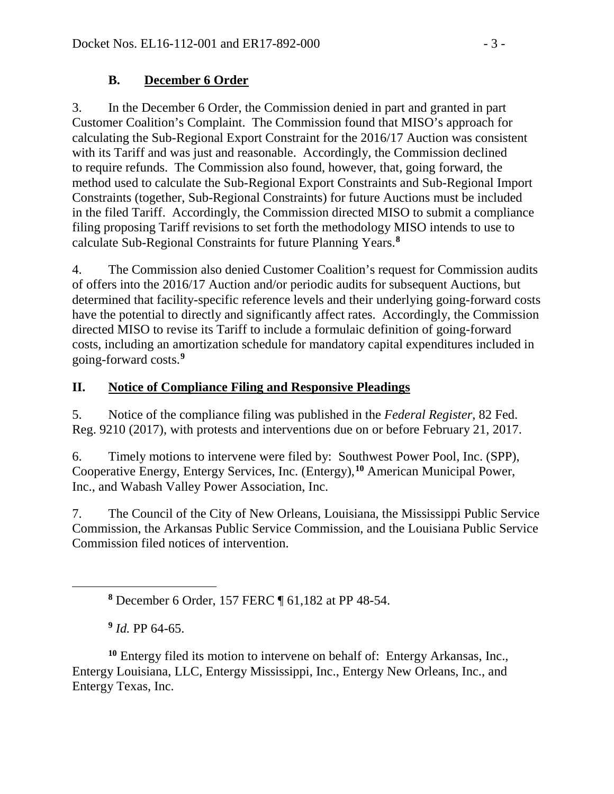# **B. December 6 Order**

3. In the December 6 Order, the Commission denied in part and granted in part Customer Coalition's Complaint. The Commission found that MISO's approach for calculating the Sub-Regional Export Constraint for the 2016/17 Auction was consistent with its Tariff and was just and reasonable. Accordingly, the Commission declined to require refunds. The Commission also found, however, that, going forward, the method used to calculate the Sub-Regional Export Constraints and Sub-Regional Import Constraints (together, Sub-Regional Constraints) for future Auctions must be included in the filed Tariff. Accordingly, the Commission directed MISO to submit a compliance filing proposing Tariff revisions to set forth the methodology MISO intends to use to calculate Sub-Regional Constraints for future Planning Years.**[8](#page-2-0)**

4. The Commission also denied Customer Coalition's request for Commission audits of offers into the 2016/17 Auction and/or periodic audits for subsequent Auctions, but determined that facility-specific reference levels and their underlying going-forward costs have the potential to directly and significantly affect rates. Accordingly, the Commission directed MISO to revise its Tariff to include a formulaic definition of going-forward costs, including an amortization schedule for mandatory capital expenditures included in going-forward costs.**[9](#page-2-1)**

# **II. Notice of Compliance Filing and Responsive Pleadings**

5. Notice of the compliance filing was published in the *Federal Register*, 82 Fed. Reg. 9210 (2017), with protests and interventions due on or before February 21, 2017.

6. Timely motions to intervene were filed by: Southwest Power Pool, Inc. (SPP), Cooperative Energy, Entergy Services, Inc. (Entergy),**[10](#page-2-2)** American Municipal Power, Inc., and Wabash Valley Power Association, Inc.

7. The Council of the City of New Orleans, Louisiana, the Mississippi Public Service Commission, the Arkansas Public Service Commission, and the Louisiana Public Service Commission filed notices of intervention.

**<sup>9</sup>** *Id.* PP 64-65.

<span id="page-2-0"></span> $\overline{a}$ 

**<sup>8</sup>** December 6 Order, 157 FERC ¶ 61,182 at PP 48-54.

<span id="page-2-2"></span><span id="page-2-1"></span>**<sup>10</sup>** Entergy filed its motion to intervene on behalf of: Entergy Arkansas, Inc., Entergy Louisiana, LLC, Entergy Mississippi, Inc., Entergy New Orleans, Inc., and Entergy Texas, Inc.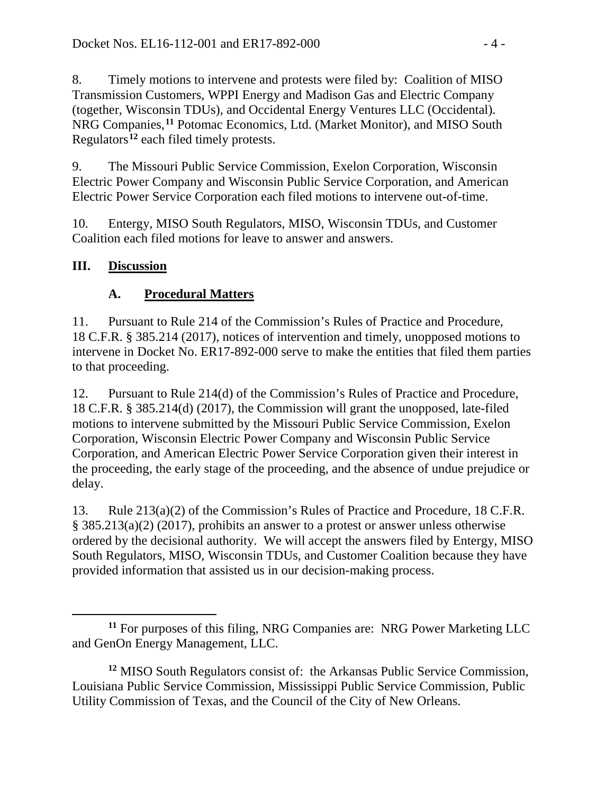8. Timely motions to intervene and protests were filed by: Coalition of MISO Transmission Customers, WPPI Energy and Madison Gas and Electric Company (together, Wisconsin TDUs), and Occidental Energy Ventures LLC (Occidental). NRG Companies,**[11](#page-3-0)** Potomac Economics, Ltd. (Market Monitor), and MISO South Regulators**[12](#page-3-1)** each filed timely protests.

9. The Missouri Public Service Commission, Exelon Corporation, Wisconsin Electric Power Company and Wisconsin Public Service Corporation, and American Electric Power Service Corporation each filed motions to intervene out-of-time.

10. Entergy, MISO South Regulators, MISO, Wisconsin TDUs, and Customer Coalition each filed motions for leave to answer and answers.

# **III. Discussion**

# **A. Procedural Matters**

11. Pursuant to Rule 214 of the Commission's Rules of Practice and Procedure, 18 C.F.R. § 385.214 (2017), notices of intervention and timely, unopposed motions to intervene in Docket No. ER17-892-000 serve to make the entities that filed them parties to that proceeding.

12. Pursuant to Rule 214(d) of the Commission's Rules of Practice and Procedure, 18 C.F.R. § 385.214(d) (2017), the Commission will grant the unopposed, late-filed motions to intervene submitted by the Missouri Public Service Commission, Exelon Corporation, Wisconsin Electric Power Company and Wisconsin Public Service Corporation, and American Electric Power Service Corporation given their interest in the proceeding, the early stage of the proceeding, and the absence of undue prejudice or delay.

13. Rule 213(a)(2) of the Commission's Rules of Practice and Procedure, 18 C.F.R. § 385.213(a)(2) (2017), prohibits an answer to a protest or answer unless otherwise ordered by the decisional authority. We will accept the answers filed by Entergy, MISO South Regulators, MISO, Wisconsin TDUs, and Customer Coalition because they have provided information that assisted us in our decision-making process.

<span id="page-3-0"></span> $\overline{a}$ **<sup>11</sup>** For purposes of this filing, NRG Companies are: NRG Power Marketing LLC and GenOn Energy Management, LLC.

<span id="page-3-1"></span>**<sup>12</sup>** MISO South Regulators consist of: the Arkansas Public Service Commission, Louisiana Public Service Commission, Mississippi Public Service Commission, Public Utility Commission of Texas, and the Council of the City of New Orleans.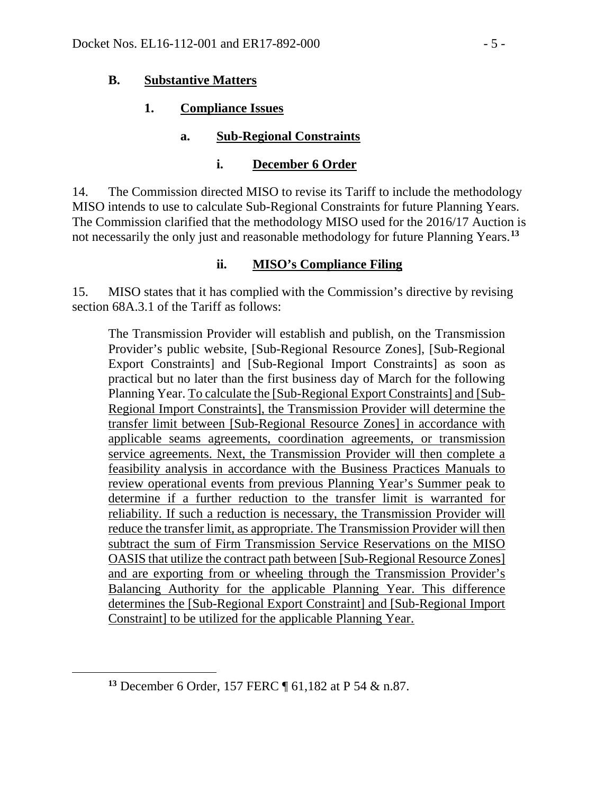### **B. Substantive Matters**

## **1. Compliance Issues**

## **a. Sub-Regional Constraints**

### **i. December 6 Order**

14. The Commission directed MISO to revise its Tariff to include the methodology MISO intends to use to calculate Sub-Regional Constraints for future Planning Years. The Commission clarified that the methodology MISO used for the 2016/17 Auction is not necessarily the only just and reasonable methodology for future Planning Years.**[13](#page-4-0)**

### **ii. MISO's Compliance Filing**

15. MISO states that it has complied with the Commission's directive by revising section 68A.3.1 of the Tariff as follows:

The Transmission Provider will establish and publish, on the Transmission Provider's public website, [Sub-Regional Resource Zones], [Sub-Regional Export Constraints] and [Sub-Regional Import Constraints] as soon as practical but no later than the first business day of March for the following Planning Year. To calculate the [Sub-Regional Export Constraints] and [Sub-Regional Import Constraints], the Transmission Provider will determine the transfer limit between [Sub-Regional Resource Zones] in accordance with applicable seams agreements, coordination agreements, or transmission service agreements. Next, the Transmission Provider will then complete a feasibility analysis in accordance with the Business Practices Manuals to review operational events from previous Planning Year's Summer peak to determine if a further reduction to the transfer limit is warranted for reliability. If such a reduction is necessary, the Transmission Provider will reduce the transfer limit, as appropriate. The Transmission Provider will then subtract the sum of Firm Transmission Service Reservations on the MISO OASIS that utilize the contract path between [Sub-Regional Resource Zones] and are exporting from or wheeling through the Transmission Provider's Balancing Authority for the applicable Planning Year. This difference determines the [Sub-Regional Export Constraint] and [Sub-Regional Import Constraint] to be utilized for the applicable Planning Year.

<span id="page-4-0"></span> $\overline{a}$ 

**<sup>13</sup>** December 6 Order, 157 FERC ¶ 61,182 at P 54 & n.87.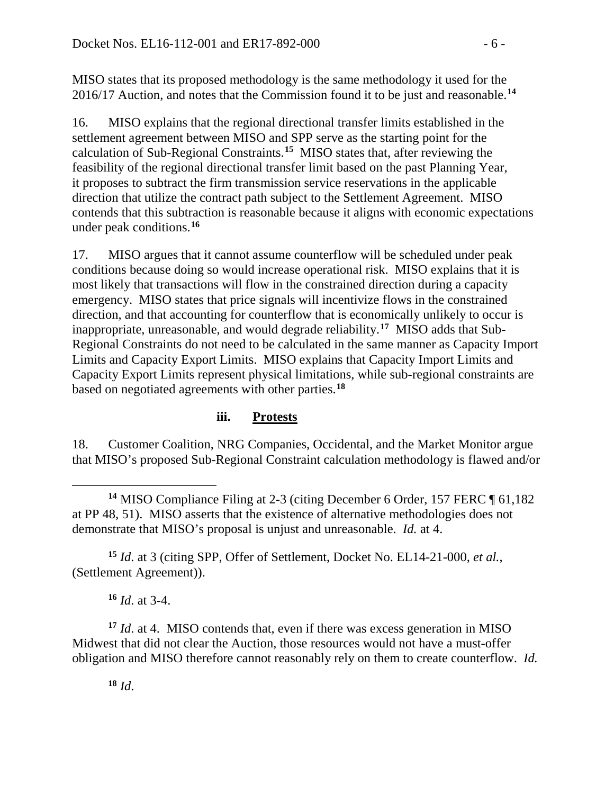MISO states that its proposed methodology is the same methodology it used for the 2016/17 Auction, and notes that the Commission found it to be just and reasonable.**[14](#page-5-0)**

16. MISO explains that the regional directional transfer limits established in the settlement agreement between MISO and SPP serve as the starting point for the calculation of Sub-Regional Constraints.**[15](#page-5-1)** MISO states that, after reviewing the feasibility of the regional directional transfer limit based on the past Planning Year, it proposes to subtract the firm transmission service reservations in the applicable direction that utilize the contract path subject to the Settlement Agreement. MISO contends that this subtraction is reasonable because it aligns with economic expectations under peak conditions.**[16](#page-5-2)**

17. MISO argues that it cannot assume counterflow will be scheduled under peak conditions because doing so would increase operational risk. MISO explains that it is most likely that transactions will flow in the constrained direction during a capacity emergency. MISO states that price signals will incentivize flows in the constrained direction, and that accounting for counterflow that is economically unlikely to occur is inappropriate, unreasonable, and would degrade reliability.**[17](#page-5-3)** MISO adds that Sub-Regional Constraints do not need to be calculated in the same manner as Capacity Import Limits and Capacity Export Limits. MISO explains that Capacity Import Limits and Capacity Export Limits represent physical limitations, while sub-regional constraints are based on negotiated agreements with other parties.**[18](#page-5-4)**

## **iii. Protests**

18. Customer Coalition, NRG Companies, Occidental, and the Market Monitor argue that MISO's proposed Sub-Regional Constraint calculation methodology is flawed and/or

<span id="page-5-1"></span>**<sup>15</sup>** *Id*. at 3 (citing SPP, Offer of Settlement, Docket No. EL14-21-000, *et al.*, (Settlement Agreement)).

**<sup>16</sup>** *Id*. at 3-4.

<span id="page-5-4"></span><span id="page-5-3"></span><span id="page-5-2"></span>**<sup>17</sup>** *Id*. at 4. MISO contends that, even if there was excess generation in MISO Midwest that did not clear the Auction, those resources would not have a must-offer obligation and MISO therefore cannot reasonably rely on them to create counterflow. *Id.*

 $\overline{a}$ 

<span id="page-5-0"></span>**<sup>14</sup>** MISO Compliance Filing at 2-3 (citing December 6 Order, 157 FERC ¶ 61,182 at PP 48, 51). MISO asserts that the existence of alternative methodologies does not demonstrate that MISO's proposal is unjust and unreasonable. *Id.* at 4.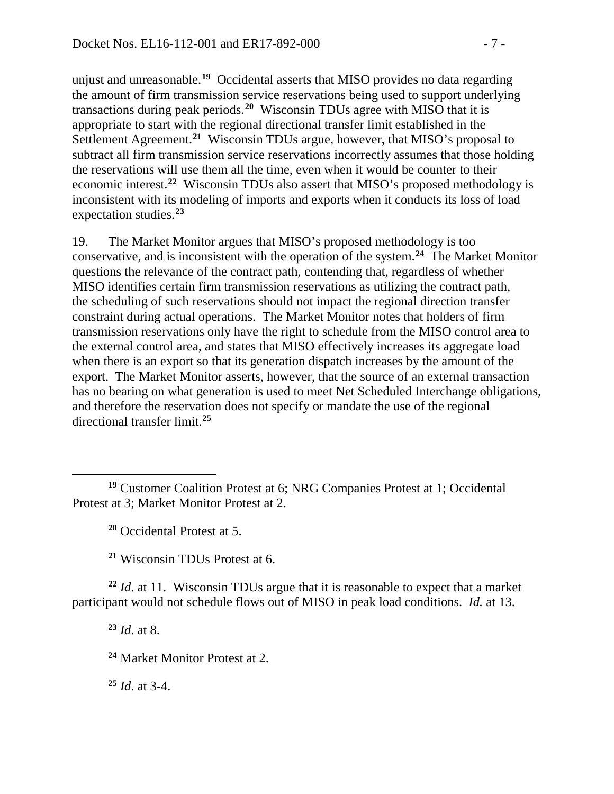unjust and unreasonable.**[19](#page-6-0)** Occidental asserts that MISO provides no data regarding the amount of firm transmission service reservations being used to support underlying transactions during peak periods.**[20](#page-6-1)** Wisconsin TDUs agree with MISO that it is appropriate to start with the regional directional transfer limit established in the Settlement Agreement.**[21](#page-6-2)** Wisconsin TDUs argue, however, that MISO's proposal to subtract all firm transmission service reservations incorrectly assumes that those holding the reservations will use them all the time, even when it would be counter to their economic interest.**[22](#page-6-3)** Wisconsin TDUs also assert that MISO's proposed methodology is inconsistent with its modeling of imports and exports when it conducts its loss of load expectation studies.**[23](#page-6-4)**

19. The Market Monitor argues that MISO's proposed methodology is too conservative, and is inconsistent with the operation of the system.**[24](#page-6-5)** The Market Monitor questions the relevance of the contract path, contending that, regardless of whether MISO identifies certain firm transmission reservations as utilizing the contract path, the scheduling of such reservations should not impact the regional direction transfer constraint during actual operations. The Market Monitor notes that holders of firm transmission reservations only have the right to schedule from the MISO control area to the external control area, and states that MISO effectively increases its aggregate load when there is an export so that its generation dispatch increases by the amount of the export. The Market Monitor asserts, however, that the source of an external transaction has no bearing on what generation is used to meet Net Scheduled Interchange obligations, and therefore the reservation does not specify or mandate the use of the regional directional transfer limit. **[25](#page-6-6)**

**<sup>20</sup>** Occidental Protest at 5.

**<sup>21</sup>** Wisconsin TDUs Protest at 6.

<span id="page-6-5"></span><span id="page-6-4"></span><span id="page-6-3"></span><span id="page-6-2"></span>**<sup>22</sup>** *Id*. at 11. Wisconsin TDUs argue that it is reasonable to expect that a market participant would not schedule flows out of MISO in peak load conditions. *Id.* at 13.

**<sup>23</sup>** *Id*. at 8.

 $\overline{a}$ 

**<sup>24</sup>** Market Monitor Protest at 2.

<span id="page-6-6"></span>**<sup>25</sup>** *Id*. at 3-4.

<span id="page-6-1"></span><span id="page-6-0"></span>**<sup>19</sup>** Customer Coalition Protest at 6; NRG Companies Protest at 1; Occidental Protest at 3; Market Monitor Protest at 2.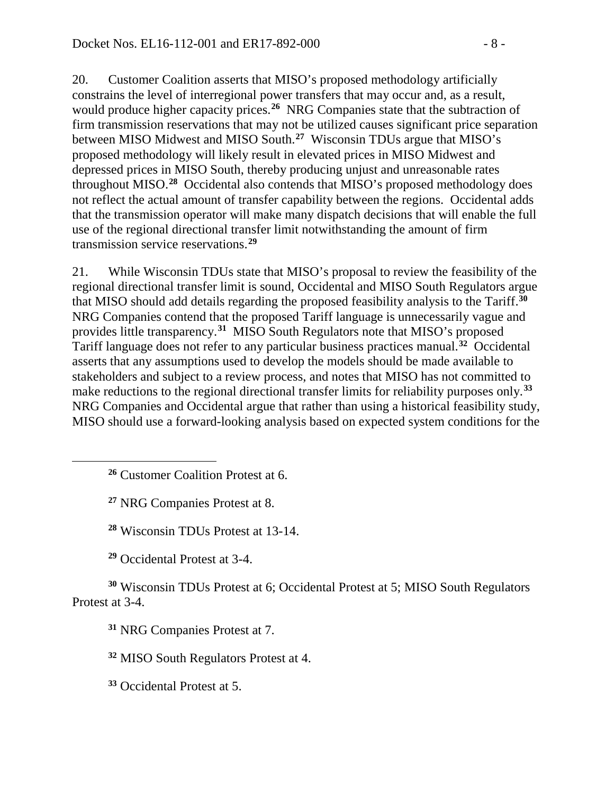20. Customer Coalition asserts that MISO's proposed methodology artificially constrains the level of interregional power transfers that may occur and, as a result, would produce higher capacity prices.<sup>[26](#page-7-0)</sup> NRG Companies state that the subtraction of firm transmission reservations that may not be utilized causes significant price separation between MISO Midwest and MISO South.**[27](#page-7-1)** Wisconsin TDUs argue that MISO's proposed methodology will likely result in elevated prices in MISO Midwest and depressed prices in MISO South, thereby producing unjust and unreasonable rates throughout MISO.**[28](#page-7-2)** Occidental also contends that MISO's proposed methodology does not reflect the actual amount of transfer capability between the regions. Occidental adds that the transmission operator will make many dispatch decisions that will enable the full use of the regional directional transfer limit notwithstanding the amount of firm transmission service reservations.**[29](#page-7-3)**

21. While Wisconsin TDUs state that MISO's proposal to review the feasibility of the regional directional transfer limit is sound, Occidental and MISO South Regulators argue that MISO should add details regarding the proposed feasibility analysis to the Tariff.**[30](#page-7-4)** NRG Companies contend that the proposed Tariff language is unnecessarily vague and provides little transparency.**[31](#page-7-5)** MISO South Regulators note that MISO's proposed Tariff language does not refer to any particular business practices manual.**[32](#page-7-6)** Occidental asserts that any assumptions used to develop the models should be made available to stakeholders and subject to a review process, and notes that MISO has not committed to make reductions to the regional directional transfer limits for reliability purposes only.**[33](#page-7-7)** NRG Companies and Occidental argue that rather than using a historical feasibility study, MISO should use a forward-looking analysis based on expected system conditions for the

**<sup>26</sup>** Customer Coalition Protest at 6.

**<sup>27</sup>** NRG Companies Protest at 8.

<span id="page-7-1"></span><span id="page-7-0"></span> $\overline{a}$ 

**<sup>28</sup>** Wisconsin TDUs Protest at 13-14.

**<sup>29</sup>** Occidental Protest at 3-4.

<span id="page-7-6"></span><span id="page-7-5"></span><span id="page-7-4"></span><span id="page-7-3"></span><span id="page-7-2"></span>**<sup>30</sup>** Wisconsin TDUs Protest at 6; Occidental Protest at 5; MISO South Regulators Protest at 3-4.

**<sup>31</sup>** NRG Companies Protest at 7.

**<sup>32</sup>** MISO South Regulators Protest at 4.

<span id="page-7-7"></span>**<sup>33</sup>** Occidental Protest at 5.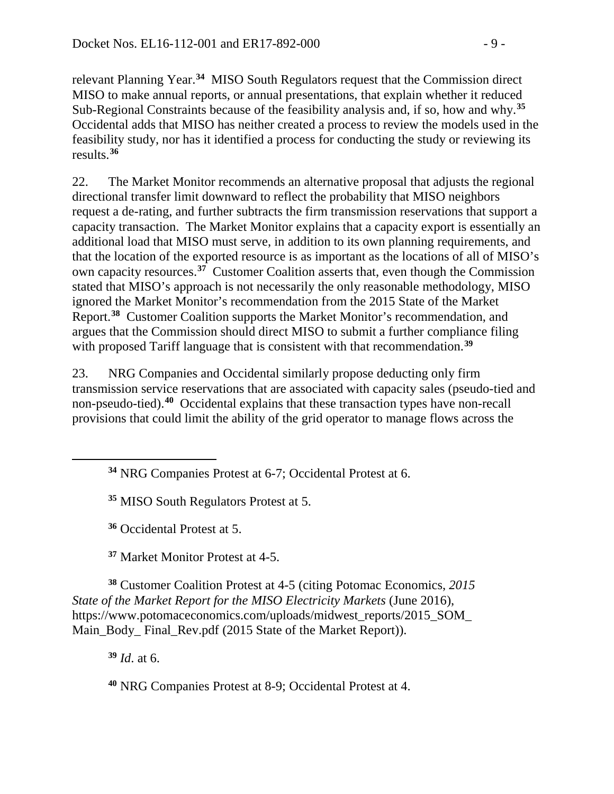relevant Planning Year.**[34](#page-8-0)** MISO South Regulators request that the Commission direct MISO to make annual reports, or annual presentations, that explain whether it reduced Sub-Regional Constraints because of the feasibility analysis and, if so, how and why.**[35](#page-8-1)** Occidental adds that MISO has neither created a process to review the models used in the feasibility study, nor has it identified a process for conducting the study or reviewing its results.**[36](#page-8-2)**

22. The Market Monitor recommends an alternative proposal that adjusts the regional directional transfer limit downward to reflect the probability that MISO neighbors request a de-rating, and further subtracts the firm transmission reservations that support a capacity transaction. The Market Monitor explains that a capacity export is essentially an additional load that MISO must serve, in addition to its own planning requirements, and that the location of the exported resource is as important as the locations of all of MISO's own capacity resources.**[37](#page-8-3)** Customer Coalition asserts that, even though the Commission stated that MISO's approach is not necessarily the only reasonable methodology, MISO ignored the Market Monitor's recommendation from the 2015 State of the Market Report. **[38](#page-8-4)** Customer Coalition supports the Market Monitor's recommendation, and argues that the Commission should direct MISO to submit a further compliance filing with proposed Tariff language that is consistent with that recommendation.<sup>[39](#page-8-5)</sup>

23. NRG Companies and Occidental similarly propose deducting only firm transmission service reservations that are associated with capacity sales (pseudo-tied and non-pseudo-tied).**[40](#page-8-6)** Occidental explains that these transaction types have non-recall provisions that could limit the ability of the grid operator to manage flows across the

**<sup>34</sup>** NRG Companies Protest at 6-7; Occidental Protest at 6.

**<sup>35</sup>** MISO South Regulators Protest at 5.

**<sup>36</sup>** Occidental Protest at 5.

**<sup>37</sup>** Market Monitor Protest at 4-5.

<span id="page-8-5"></span><span id="page-8-4"></span><span id="page-8-3"></span><span id="page-8-2"></span>**<sup>38</sup>** Customer Coalition Protest at 4-5 (citing Potomac Economics, *2015 State of the Market Report for the MISO Electricity Markets* (June 2016), https://www.potomaceconomics.com/uploads/midwest\_reports/2015\_SOM Main\_Body\_Final\_Rev.pdf (2015 State of the Market Report)).

**<sup>39</sup>** *Id*. at 6.

<span id="page-8-1"></span><span id="page-8-0"></span> $\overline{a}$ 

<span id="page-8-6"></span>**<sup>40</sup>** NRG Companies Protest at 8-9; Occidental Protest at 4.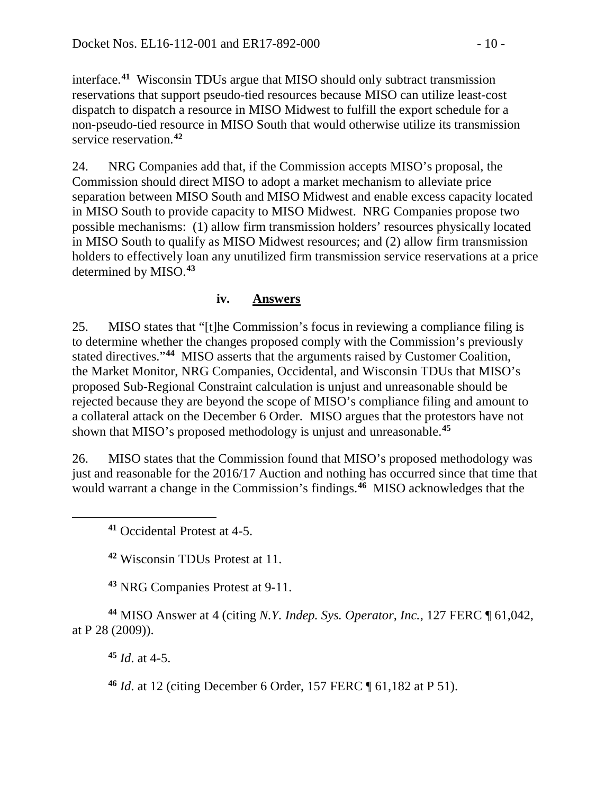interface.**[41](#page-9-0)** Wisconsin TDUs argue that MISO should only subtract transmission reservations that support pseudo-tied resources because MISO can utilize least-cost dispatch to dispatch a resource in MISO Midwest to fulfill the export schedule for a non-pseudo-tied resource in MISO South that would otherwise utilize its transmission service reservation.**[42](#page-9-1)**

24. NRG Companies add that, if the Commission accepts MISO's proposal, the Commission should direct MISO to adopt a market mechanism to alleviate price separation between MISO South and MISO Midwest and enable excess capacity located in MISO South to provide capacity to MISO Midwest. NRG Companies propose two possible mechanisms: (1) allow firm transmission holders' resources physically located in MISO South to qualify as MISO Midwest resources; and (2) allow firm transmission holders to effectively loan any unutilized firm transmission service reservations at a price determined by MISO. **[43](#page-9-2)**

### **iv. Answers**

25. MISO states that "[t]he Commission's focus in reviewing a compliance filing is to determine whether the changes proposed comply with the Commission's previously stated directives."**[44](#page-9-3)** MISO asserts that the arguments raised by Customer Coalition, the Market Monitor, NRG Companies, Occidental, and Wisconsin TDUs that MISO's proposed Sub-Regional Constraint calculation is unjust and unreasonable should be rejected because they are beyond the scope of MISO's compliance filing and amount to a collateral attack on the December 6 Order. MISO argues that the protestors have not shown that MISO's proposed methodology is unjust and unreasonable.**[45](#page-9-4)**

26. MISO states that the Commission found that MISO's proposed methodology was just and reasonable for the 2016/17 Auction and nothing has occurred since that time that would warrant a change in the Commission's findings.<sup>[46](#page-9-5)</sup> MISO acknowledges that the

**<sup>41</sup>** Occidental Protest at 4-5.

**<sup>42</sup>** Wisconsin TDUs Protest at 11.

**<sup>43</sup>** NRG Companies Protest at 9-11.

<span id="page-9-5"></span><span id="page-9-4"></span><span id="page-9-3"></span><span id="page-9-2"></span>**<sup>44</sup>** MISO Answer at 4 (citing *N.Y. Indep. Sys. Operator, Inc.*, 127 FERC ¶ 61,042, at P 28 (2009)).

**<sup>45</sup>** *Id*. at 4-5.

<span id="page-9-1"></span><span id="page-9-0"></span> $\overline{a}$ 

**<sup>46</sup>** *Id*. at 12 (citing December 6 Order, 157 FERC ¶ 61,182 at P 51).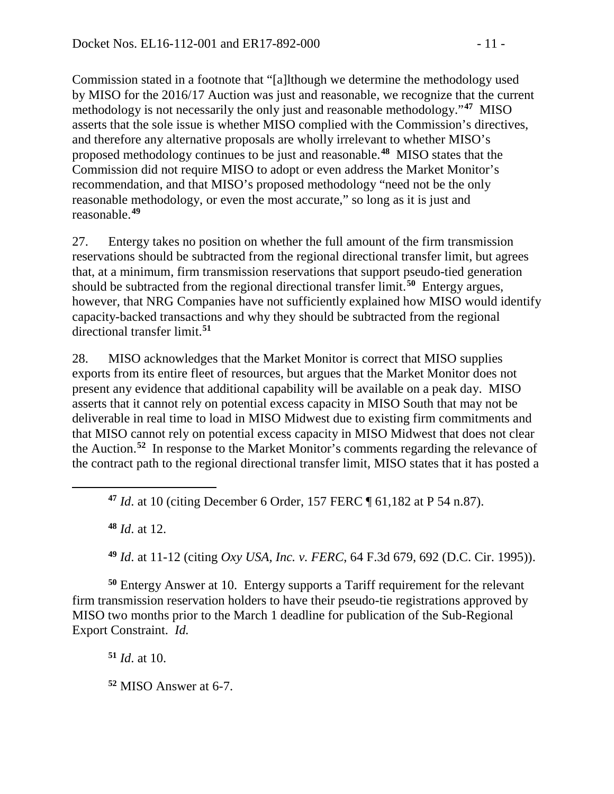Commission stated in a footnote that "[a]lthough we determine the methodology used by MISO for the 2016/17 Auction was just and reasonable, we recognize that the current methodology is not necessarily the only just and reasonable methodology."**[47](#page-10-0)** MISO asserts that the sole issue is whether MISO complied with the Commission's directives, and therefore any alternative proposals are wholly irrelevant to whether MISO's proposed methodology continues to be just and reasonable.**[48](#page-10-1)** MISO states that the Commission did not require MISO to adopt or even address the Market Monitor's recommendation, and that MISO's proposed methodology "need not be the only reasonable methodology, or even the most accurate," so long as it is just and reasonable.**[49](#page-10-2)**

27. Entergy takes no position on whether the full amount of the firm transmission reservations should be subtracted from the regional directional transfer limit, but agrees that, at a minimum, firm transmission reservations that support pseudo-tied generation should be subtracted from the regional directional transfer limit.**[50](#page-10-3)** Entergy argues, however, that NRG Companies have not sufficiently explained how MISO would identify capacity-backed transactions and why they should be subtracted from the regional directional transfer limit.**[51](#page-10-4)**

28. MISO acknowledges that the Market Monitor is correct that MISO supplies exports from its entire fleet of resources, but argues that the Market Monitor does not present any evidence that additional capability will be available on a peak day. MISO asserts that it cannot rely on potential excess capacity in MISO South that may not be deliverable in real time to load in MISO Midwest due to existing firm commitments and that MISO cannot rely on potential excess capacity in MISO Midwest that does not clear the Auction.**[52](#page-10-5)** In response to the Market Monitor's comments regarding the relevance of the contract path to the regional directional transfer limit, MISO states that it has posted a

**<sup>48</sup>** *Id*. at 12.

<span id="page-10-1"></span><span id="page-10-0"></span> $\overline{a}$ 

**<sup>49</sup>** *Id*. at 11-12 (citing *Oxy USA, Inc. v. FERC*, 64 F.3d 679, 692 (D.C. Cir. 1995)).

<span id="page-10-4"></span><span id="page-10-3"></span><span id="page-10-2"></span>**<sup>50</sup>** Entergy Answer at 10. Entergy supports a Tariff requirement for the relevant firm transmission reservation holders to have their pseudo-tie registrations approved by MISO two months prior to the March 1 deadline for publication of the Sub-Regional Export Constraint. *Id.*

**<sup>51</sup>** *Id*. at 10.

<span id="page-10-5"></span>**<sup>52</sup>** MISO Answer at 6-7.

**<sup>47</sup>** *Id*. at 10 (citing December 6 Order, 157 FERC ¶ 61,182 at P 54 n.87).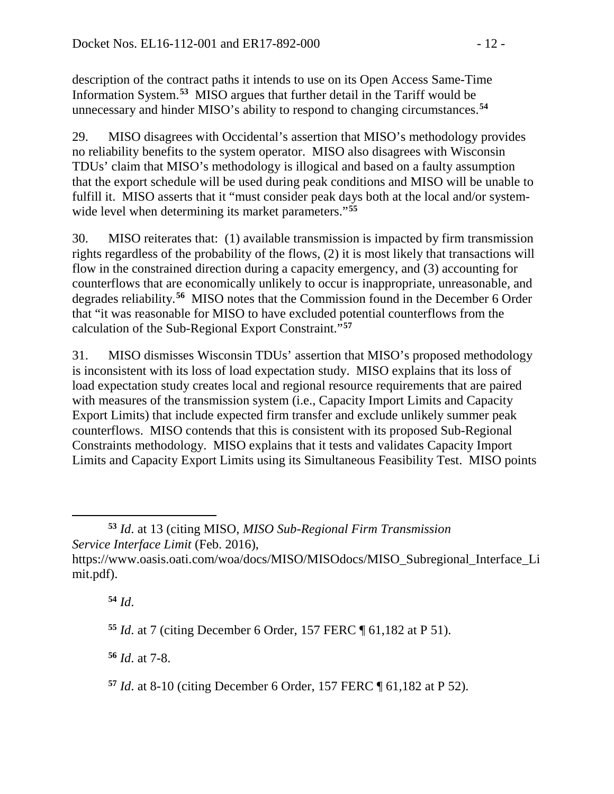description of the contract paths it intends to use on its Open Access Same-Time Information System.**[53](#page-11-0)** MISO argues that further detail in the Tariff would be unnecessary and hinder MISO's ability to respond to changing circumstances.**[54](#page-11-1)**

29. MISO disagrees with Occidental's assertion that MISO's methodology provides no reliability benefits to the system operator. MISO also disagrees with Wisconsin TDUs' claim that MISO's methodology is illogical and based on a faulty assumption that the export schedule will be used during peak conditions and MISO will be unable to fulfill it. MISO asserts that it "must consider peak days both at the local and/or systemwide level when determining its market parameters."**[55](#page-11-2)**

30. MISO reiterates that: (1) available transmission is impacted by firm transmission rights regardless of the probability of the flows, (2) it is most likely that transactions will flow in the constrained direction during a capacity emergency, and (3) accounting for counterflows that are economically unlikely to occur is inappropriate, unreasonable, and degrades reliability.**[56](#page-11-3)** MISO notes that the Commission found in the December 6 Order that "it was reasonable for MISO to have excluded potential counterflows from the calculation of the Sub-Regional Export Constraint."**[57](#page-11-4)**

31. MISO dismisses Wisconsin TDUs' assertion that MISO's proposed methodology is inconsistent with its loss of load expectation study. MISO explains that its loss of load expectation study creates local and regional resource requirements that are paired with measures of the transmission system (i.e., Capacity Import Limits and Capacity Export Limits) that include expected firm transfer and exclude unlikely summer peak counterflows. MISO contends that this is consistent with its proposed Sub-Regional Constraints methodology. MISO explains that it tests and validates Capacity Import Limits and Capacity Export Limits using its Simultaneous Feasibility Test. MISO points

<span id="page-11-1"></span><span id="page-11-0"></span>**<sup>53</sup>** *Id*. at 13 (citing MISO, *MISO Sub-Regional Firm Transmission Service Interface Limit* (Feb. 2016), https://www.oasis.oati.com/woa/docs/MISO/MISOdocs/MISO\_Subregional\_Interface\_Li mit.pdf).

**<sup>54</sup>** *Id*.

 $\overline{a}$ 

<span id="page-11-2"></span>**<sup>55</sup>** *Id*. at 7 (citing December 6 Order, 157 FERC ¶ 61,182 at P 51).

<span id="page-11-3"></span>**<sup>56</sup>** *Id*. at 7-8.

<span id="page-11-4"></span>**<sup>57</sup>** *Id*. at 8-10 (citing December 6 Order, 157 FERC ¶ 61,182 at P 52).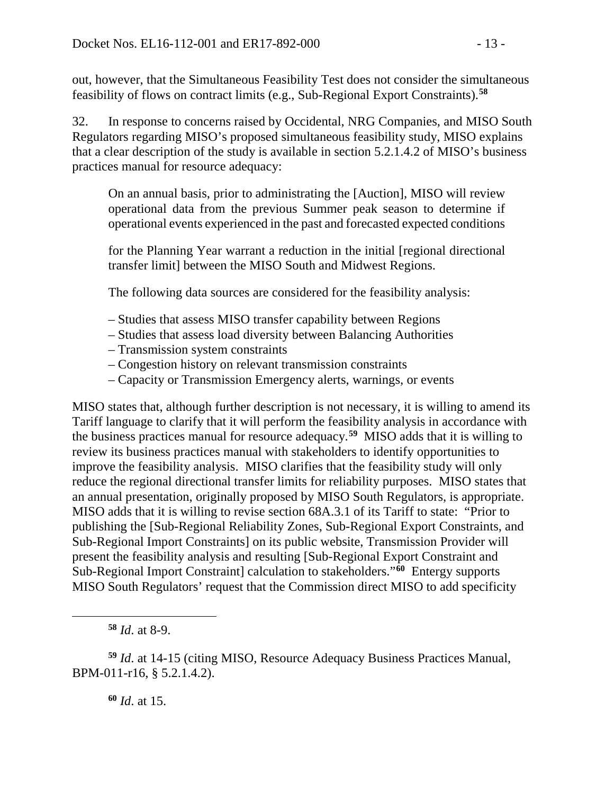out, however, that the Simultaneous Feasibility Test does not consider the simultaneous feasibility of flows on contract limits (e.g., Sub-Regional Export Constraints).**[58](#page-12-0)**

32. In response to concerns raised by Occidental, NRG Companies, and MISO South Regulators regarding MISO's proposed simultaneous feasibility study, MISO explains that a clear description of the study is available in section 5.2.1.4.2 of MISO's business practices manual for resource adequacy:

On an annual basis, prior to administrating the [Auction], MISO will review operational data from the previous Summer peak season to determine if operational events experienced in the past and forecasted expected conditions

for the Planning Year warrant a reduction in the initial [regional directional transfer limit] between the MISO South and Midwest Regions.

The following data sources are considered for the feasibility analysis:

- Studies that assess MISO transfer capability between Regions
- Studies that assess load diversity between Balancing Authorities
- Transmission system constraints
- Congestion history on relevant transmission constraints
- Capacity or Transmission Emergency alerts, warnings, or events

MISO states that, although further description is not necessary, it is willing to amend its Tariff language to clarify that it will perform the feasibility analysis in accordance with the business practices manual for resource adequacy.**[59](#page-12-1)** MISO adds that it is willing to review its business practices manual with stakeholders to identify opportunities to improve the feasibility analysis. MISO clarifies that the feasibility study will only reduce the regional directional transfer limits for reliability purposes. MISO states that an annual presentation, originally proposed by MISO South Regulators, is appropriate. MISO adds that it is willing to revise section 68A.3.1 of its Tariff to state: "Prior to publishing the [Sub-Regional Reliability Zones, Sub-Regional Export Constraints, and Sub-Regional Import Constraints] on its public website, Transmission Provider will present the feasibility analysis and resulting [Sub-Regional Export Constraint and Sub-Regional Import Constraint] calculation to stakeholders."**[60](#page-12-2)** Entergy supports MISO South Regulators' request that the Commission direct MISO to add specificity

**<sup>58</sup>** *Id*. at 8-9.

<span id="page-12-0"></span> $\overline{a}$ 

**<sup>60</sup>** *Id*. at 15.

<span id="page-12-2"></span><span id="page-12-1"></span>**<sup>59</sup>** *Id*. at 14-15 (citing MISO, Resource Adequacy Business Practices Manual, BPM-011-r16, § 5.2.1.4.2).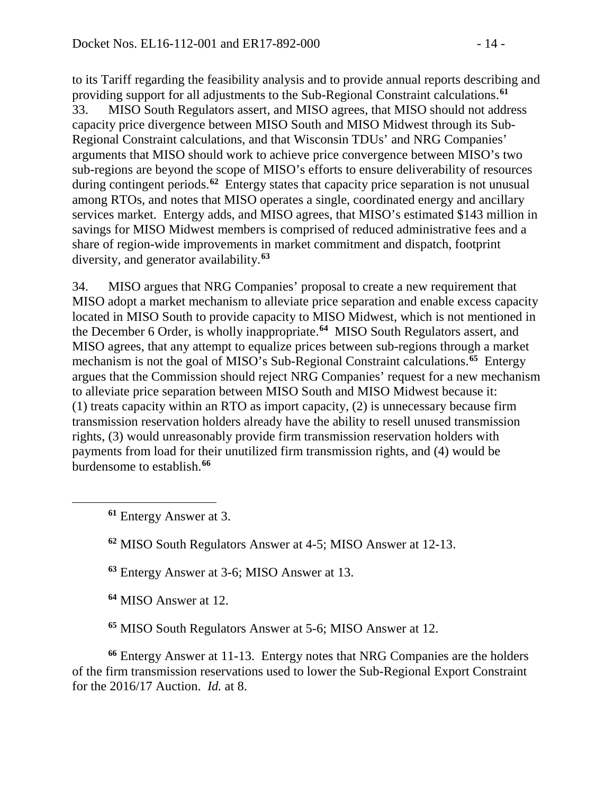to its Tariff regarding the feasibility analysis and to provide annual reports describing and providing support for all adjustments to the Sub-Regional Constraint calculations.**[61](#page-13-0)** 33. MISO South Regulators assert, and MISO agrees, that MISO should not address capacity price divergence between MISO South and MISO Midwest through its Sub-Regional Constraint calculations, and that Wisconsin TDUs' and NRG Companies' arguments that MISO should work to achieve price convergence between MISO's two sub-regions are beyond the scope of MISO's efforts to ensure deliverability of resources during contingent periods.**[62](#page-13-1)** Entergy states that capacity price separation is not unusual among RTOs, and notes that MISO operates a single, coordinated energy and ancillary services market. Entergy adds, and MISO agrees, that MISO's estimated \$143 million in savings for MISO Midwest members is comprised of reduced administrative fees and a share of region-wide improvements in market commitment and dispatch, footprint diversity, and generator availability.**[63](#page-13-2)**

34. MISO argues that NRG Companies' proposal to create a new requirement that MISO adopt a market mechanism to alleviate price separation and enable excess capacity located in MISO South to provide capacity to MISO Midwest, which is not mentioned in the December 6 Order, is wholly inappropriate.**[64](#page-13-3)** MISO South Regulators assert, and MISO agrees, that any attempt to equalize prices between sub-regions through a market mechanism is not the goal of MISO's Sub-Regional Constraint calculations.**[65](#page-13-4)** Entergy argues that the Commission should reject NRG Companies' request for a new mechanism to alleviate price separation between MISO South and MISO Midwest because it: (1) treats capacity within an RTO as import capacity, (2) is unnecessary because firm transmission reservation holders already have the ability to resell unused transmission rights, (3) would unreasonably provide firm transmission reservation holders with payments from load for their unutilized firm transmission rights, and (4) would be burdensome to establish.**[66](#page-13-5)**

**<sup>61</sup>** Entergy Answer at 3.

<span id="page-13-2"></span><span id="page-13-1"></span><span id="page-13-0"></span> $\overline{a}$ 

**<sup>62</sup>** MISO South Regulators Answer at 4-5; MISO Answer at 12-13.

**<sup>63</sup>** Entergy Answer at 3-6; MISO Answer at 13.

**<sup>64</sup>** MISO Answer at 12.

**<sup>65</sup>** MISO South Regulators Answer at 5-6; MISO Answer at 12.

<span id="page-13-5"></span><span id="page-13-4"></span><span id="page-13-3"></span>**<sup>66</sup>** Entergy Answer at 11-13. Entergy notes that NRG Companies are the holders of the firm transmission reservations used to lower the Sub-Regional Export Constraint for the 2016/17 Auction. *Id.* at 8.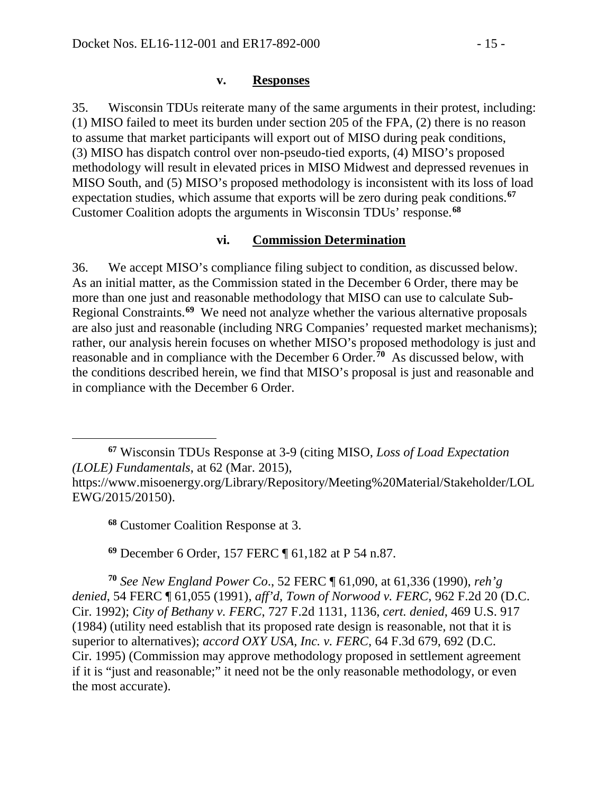#### **v. Responses**

35. Wisconsin TDUs reiterate many of the same arguments in their protest, including: (1) MISO failed to meet its burden under section 205 of the FPA, (2) there is no reason to assume that market participants will export out of MISO during peak conditions, (3) MISO has dispatch control over non-pseudo-tied exports, (4) MISO's proposed methodology will result in elevated prices in MISO Midwest and depressed revenues in MISO South, and (5) MISO's proposed methodology is inconsistent with its loss of load expectation studies, which assume that exports will be zero during peak conditions.**[67](#page-14-0)** Customer Coalition adopts the arguments in Wisconsin TDUs' response.**[68](#page-14-1)**

### **vi. Commission Determination**

36. We accept MISO's compliance filing subject to condition, as discussed below. As an initial matter, as the Commission stated in the December 6 Order, there may be more than one just and reasonable methodology that MISO can use to calculate Sub-Regional Constraints.**[69](#page-14-2)** We need not analyze whether the various alternative proposals are also just and reasonable (including NRG Companies' requested market mechanisms); rather, our analysis herein focuses on whether MISO's proposed methodology is just and reasonable and in compliance with the December 6 Order.**[70](#page-14-3)** As discussed below, with the conditions described herein, we find that MISO's proposal is just and reasonable and in compliance with the December 6 Order.

<span id="page-14-0"></span> $\overline{a}$ **<sup>67</sup>** Wisconsin TDUs Response at 3-9 (citing MISO, *Loss of Load Expectation (LOLE) Fundamentals*, at 62 (Mar. 2015),

**<sup>68</sup>** Customer Coalition Response at 3.

**<sup>69</sup>** December 6 Order, 157 FERC ¶ 61,182 at P 54 n.87.

<span id="page-14-3"></span><span id="page-14-2"></span>**<sup>70</sup>** *See New England Power Co*., 52 FERC ¶ 61,090, at 61,336 (1990), *reh'g denied*, 54 FERC ¶ 61,055 (1991), *aff'd, Town of Norwood v. FERC*, 962 F.2d 20 (D.C. Cir. 1992); *City of Bethany v. FERC*, 727 F.2d 1131, 1136, *cert. denied*, 469 U.S. 917 (1984) (utility need establish that its proposed rate design is reasonable, not that it is superior to alternatives); *accord OXY USA, Inc. v. FERC*, 64 F.3d 679, 692 (D.C. Cir. 1995) (Commission may approve methodology proposed in settlement agreement if it is "just and reasonable;" it need not be the only reasonable methodology, or even the most accurate).

<span id="page-14-1"></span>https://www.misoenergy.org/Library/Repository/Meeting%20Material/Stakeholder/LOL EWG/2015/20150).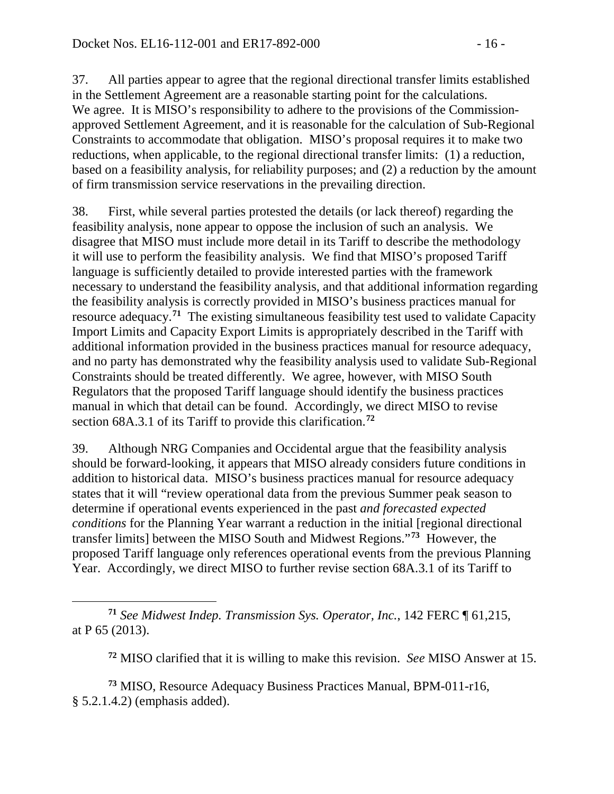37. All parties appear to agree that the regional directional transfer limits established in the Settlement Agreement are a reasonable starting point for the calculations. We agree. It is MISO's responsibility to adhere to the provisions of the Commissionapproved Settlement Agreement, and it is reasonable for the calculation of Sub-Regional Constraints to accommodate that obligation. MISO's proposal requires it to make two reductions, when applicable, to the regional directional transfer limits: (1) a reduction, based on a feasibility analysis, for reliability purposes; and (2) a reduction by the amount of firm transmission service reservations in the prevailing direction.

38. First, while several parties protested the details (or lack thereof) regarding the feasibility analysis, none appear to oppose the inclusion of such an analysis. We disagree that MISO must include more detail in its Tariff to describe the methodology it will use to perform the feasibility analysis. We find that MISO's proposed Tariff language is sufficiently detailed to provide interested parties with the framework necessary to understand the feasibility analysis, and that additional information regarding the feasibility analysis is correctly provided in MISO's business practices manual for resource adequacy.**[71](#page-15-0)** The existing simultaneous feasibility test used to validate Capacity Import Limits and Capacity Export Limits is appropriately described in the Tariff with additional information provided in the business practices manual for resource adequacy, and no party has demonstrated why the feasibility analysis used to validate Sub-Regional Constraints should be treated differently. We agree, however, with MISO South Regulators that the proposed Tariff language should identify the business practices manual in which that detail can be found. Accordingly, we direct MISO to revise section 68A.3.1 of its Tariff to provide this clarification.**[72](#page-15-1)**

39. Although NRG Companies and Occidental argue that the feasibility analysis should be forward-looking, it appears that MISO already considers future conditions in addition to historical data. MISO's business practices manual for resource adequacy states that it will "review operational data from the previous Summer peak season to determine if operational events experienced in the past *and forecasted expected conditions* for the Planning Year warrant a reduction in the initial [regional directional transfer limits] between the MISO South and Midwest Regions."**[73](#page-15-2)** However, the proposed Tariff language only references operational events from the previous Planning Year. Accordingly, we direct MISO to further revise section 68A.3.1 of its Tariff to

**<sup>72</sup>** MISO clarified that it is willing to make this revision. *See* MISO Answer at 15.

<span id="page-15-2"></span><span id="page-15-1"></span>**<sup>73</sup>** MISO, Resource Adequacy Business Practices Manual, BPM-011-r16, § 5.2.1.4.2) (emphasis added).

<span id="page-15-0"></span> $\overline{a}$ **<sup>71</sup>** *See Midwest Indep. Transmission Sys. Operator, Inc.*, 142 FERC ¶ 61,215, at P 65 (2013).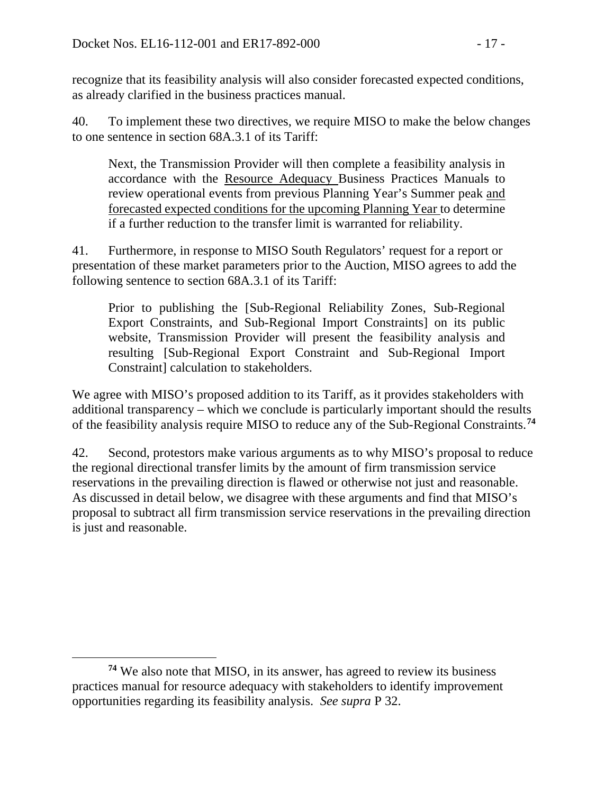recognize that its feasibility analysis will also consider forecasted expected conditions, as already clarified in the business practices manual.

40. To implement these two directives, we require MISO to make the below changes to one sentence in section 68A.3.1 of its Tariff:

Next, the Transmission Provider will then complete a feasibility analysis in accordance with the Resource Adequacy Business Practices Manuals to review operational events from previous Planning Year's Summer peak and forecasted expected conditions for the upcoming Planning Year to determine if a further reduction to the transfer limit is warranted for reliability.

41. Furthermore, in response to MISO South Regulators' request for a report or presentation of these market parameters prior to the Auction, MISO agrees to add the following sentence to section 68A.3.1 of its Tariff:

Prior to publishing the [Sub-Regional Reliability Zones, Sub-Regional Export Constraints, and Sub-Regional Import Constraints] on its public website, Transmission Provider will present the feasibility analysis and resulting [Sub-Regional Export Constraint and Sub-Regional Import Constraint] calculation to stakeholders.

We agree with MISO's proposed addition to its Tariff, as it provides stakeholders with additional transparency – which we conclude is particularly important should the results of the feasibility analysis require MISO to reduce any of the Sub-Regional Constraints.**[74](#page-16-0)**

42. Second, protestors make various arguments as to why MISO's proposal to reduce the regional directional transfer limits by the amount of firm transmission service reservations in the prevailing direction is flawed or otherwise not just and reasonable. As discussed in detail below, we disagree with these arguments and find that MISO's proposal to subtract all firm transmission service reservations in the prevailing direction is just and reasonable.

 $\overline{a}$ 

<span id="page-16-0"></span>**<sup>74</sup>** We also note that MISO, in its answer, has agreed to review its business practices manual for resource adequacy with stakeholders to identify improvement opportunities regarding its feasibility analysis. *See supra* P 32.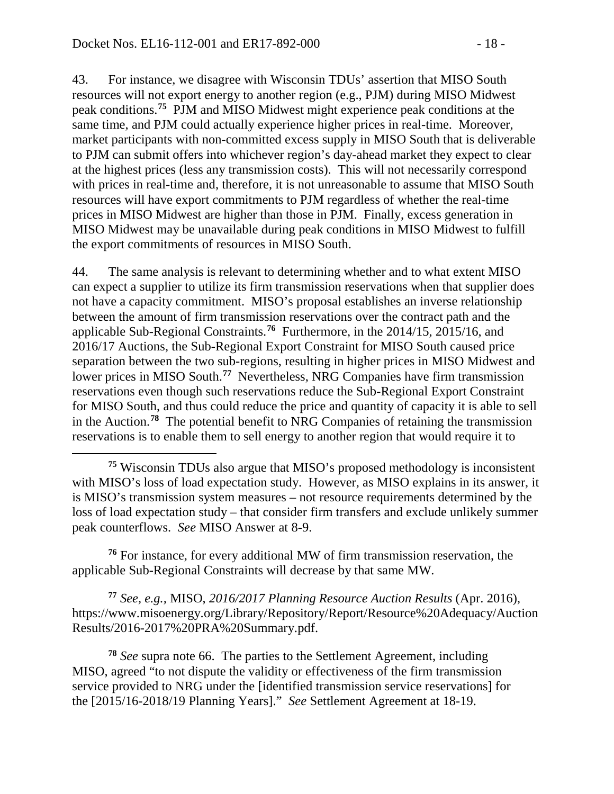$\overline{a}$ 

43. For instance, we disagree with Wisconsin TDUs' assertion that MISO South resources will not export energy to another region (e.g., PJM) during MISO Midwest peak conditions.**[75](#page-17-0)** PJM and MISO Midwest might experience peak conditions at the same time, and PJM could actually experience higher prices in real-time. Moreover, market participants with non-committed excess supply in MISO South that is deliverable to PJM can submit offers into whichever region's day-ahead market they expect to clear at the highest prices (less any transmission costs). This will not necessarily correspond with prices in real-time and, therefore, it is not unreasonable to assume that MISO South resources will have export commitments to PJM regardless of whether the real-time prices in MISO Midwest are higher than those in PJM. Finally, excess generation in MISO Midwest may be unavailable during peak conditions in MISO Midwest to fulfill the export commitments of resources in MISO South.

44. The same analysis is relevant to determining whether and to what extent MISO can expect a supplier to utilize its firm transmission reservations when that supplier does not have a capacity commitment. MISO's proposal establishes an inverse relationship between the amount of firm transmission reservations over the contract path and the applicable Sub-Regional Constraints. **[76](#page-17-1)** Furthermore, in the 2014/15, 2015/16, and 2016/17 Auctions, the Sub-Regional Export Constraint for MISO South caused price separation between the two sub-regions, resulting in higher prices in MISO Midwest and lower prices in MISO South.**[77](#page-17-2)** Nevertheless, NRG Companies have firm transmission reservations even though such reservations reduce the Sub-Regional Export Constraint for MISO South, and thus could reduce the price and quantity of capacity it is able to sell in the Auction.**[78](#page-17-3)** The potential benefit to NRG Companies of retaining the transmission reservations is to enable them to sell energy to another region that would require it to

<span id="page-17-1"></span>**<sup>76</sup>** For instance, for every additional MW of firm transmission reservation, the applicable Sub-Regional Constraints will decrease by that same MW.

<span id="page-17-2"></span>**<sup>77</sup>** *See, e.g.,* MISO, *2016/2017 Planning Resource Auction Results* (Apr. 2016), https://www.misoenergy.org/Library/Repository/Report/Resource%20Adequacy/Auction Results/2016-2017%20PRA%20Summary.pdf.

<span id="page-17-3"></span>**<sup>78</sup>** *See* supra note 66. The parties to the Settlement Agreement, including MISO, agreed "to not dispute the validity or effectiveness of the firm transmission service provided to NRG under the [identified transmission service reservations] for the [2015/16-2018/19 Planning Years]." *See* Settlement Agreement at 18-19.

<span id="page-17-0"></span>**<sup>75</sup>** Wisconsin TDUs also argue that MISO's proposed methodology is inconsistent with MISO's loss of load expectation study. However, as MISO explains in its answer, it is MISO's transmission system measures – not resource requirements determined by the loss of load expectation study – that consider firm transfers and exclude unlikely summer peak counterflows. *See* MISO Answer at 8-9.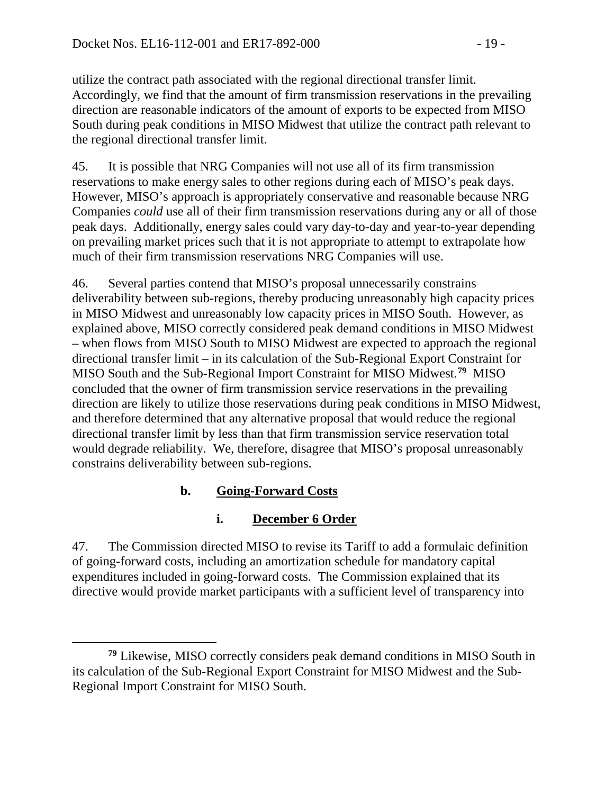utilize the contract path associated with the regional directional transfer limit. Accordingly, we find that the amount of firm transmission reservations in the prevailing direction are reasonable indicators of the amount of exports to be expected from MISO South during peak conditions in MISO Midwest that utilize the contract path relevant to the regional directional transfer limit.

45. It is possible that NRG Companies will not use all of its firm transmission reservations to make energy sales to other regions during each of MISO's peak days. However, MISO's approach is appropriately conservative and reasonable because NRG Companies *could* use all of their firm transmission reservations during any or all of those peak days. Additionally, energy sales could vary day-to-day and year-to-year depending on prevailing market prices such that it is not appropriate to attempt to extrapolate how much of their firm transmission reservations NRG Companies will use.

46. Several parties contend that MISO's proposal unnecessarily constrains deliverability between sub-regions, thereby producing unreasonably high capacity prices in MISO Midwest and unreasonably low capacity prices in MISO South. However, as explained above, MISO correctly considered peak demand conditions in MISO Midwest – when flows from MISO South to MISO Midwest are expected to approach the regional directional transfer limit – in its calculation of the Sub-Regional Export Constraint for MISO South and the Sub-Regional Import Constraint for MISO Midwest. **[79](#page-18-0)** MISO concluded that the owner of firm transmission service reservations in the prevailing direction are likely to utilize those reservations during peak conditions in MISO Midwest, and therefore determined that any alternative proposal that would reduce the regional directional transfer limit by less than that firm transmission service reservation total would degrade reliability. We, therefore, disagree that MISO's proposal unreasonably constrains deliverability between sub-regions.

# **b. Going-Forward Costs**

 $\overline{a}$ 

## **i. December 6 Order**

47. The Commission directed MISO to revise its Tariff to add a formulaic definition of going-forward costs, including an amortization schedule for mandatory capital expenditures included in going-forward costs. The Commission explained that its directive would provide market participants with a sufficient level of transparency into

<span id="page-18-0"></span>**<sup>79</sup>** Likewise, MISO correctly considers peak demand conditions in MISO South in its calculation of the Sub-Regional Export Constraint for MISO Midwest and the Sub-Regional Import Constraint for MISO South.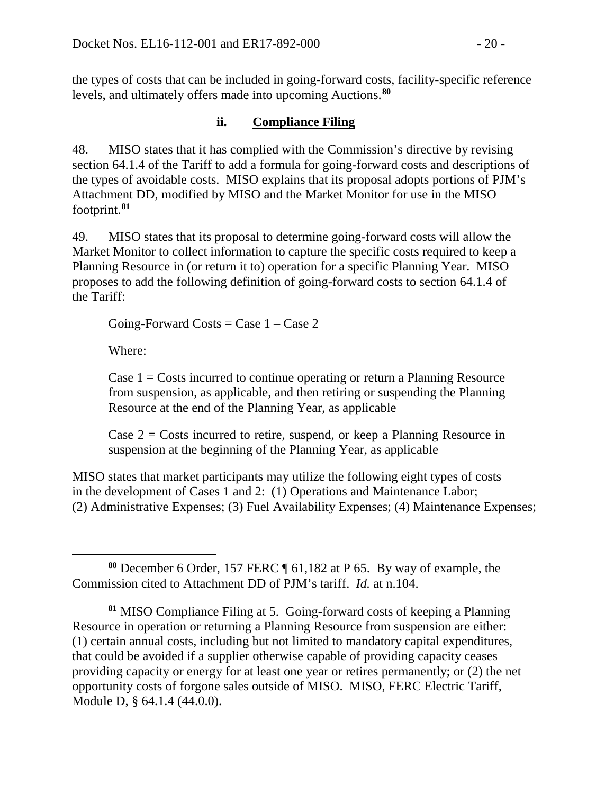the types of costs that can be included in going-forward costs, facility-specific reference levels, and ultimately offers made into upcoming Auctions.**[80](#page-19-0)**

## **ii. Compliance Filing**

48. MISO states that it has complied with the Commission's directive by revising section 64.1.4 of the Tariff to add a formula for going-forward costs and descriptions of the types of avoidable costs. MISO explains that its proposal adopts portions of PJM's Attachment DD, modified by MISO and the Market Monitor for use in the MISO footprint.**[81](#page-19-1)**

49. MISO states that its proposal to determine going-forward costs will allow the Market Monitor to collect information to capture the specific costs required to keep a Planning Resource in (or return it to) operation for a specific Planning Year. MISO proposes to add the following definition of going-forward costs to section 64.1.4 of the Tariff:

Going-Forward Costs =  $\text{Case } 1 - \text{Case } 2$ 

Where:

 $\overline{a}$ 

Case  $1 = \text{Costs}$  incurred to continue operating or return a Planning Resource from suspension, as applicable, and then retiring or suspending the Planning Resource at the end of the Planning Year, as applicable

Case  $2 = \text{Costs}$  incurred to retire, suspend, or keep a Planning Resource in suspension at the beginning of the Planning Year, as applicable

MISO states that market participants may utilize the following eight types of costs in the development of Cases 1 and 2: (1) Operations and Maintenance Labor; (2) Administrative Expenses; (3) Fuel Availability Expenses; (4) Maintenance Expenses;

<span id="page-19-0"></span>**<sup>80</sup>** December 6 Order, 157 FERC ¶ 61,182 at P 65. By way of example, the Commission cited to Attachment DD of PJM's tariff. *Id.* at n.104.

<span id="page-19-1"></span>**<sup>81</sup>** MISO Compliance Filing at 5. Going-forward costs of keeping a Planning Resource in operation or returning a Planning Resource from suspension are either: (1) certain annual costs, including but not limited to mandatory capital expenditures, that could be avoided if a supplier otherwise capable of providing capacity ceases providing capacity or energy for at least one year or retires permanently; or (2) the net opportunity costs of forgone sales outside of MISO. MISO, FERC Electric Tariff, Module D, § 64.1.4 (44.0.0).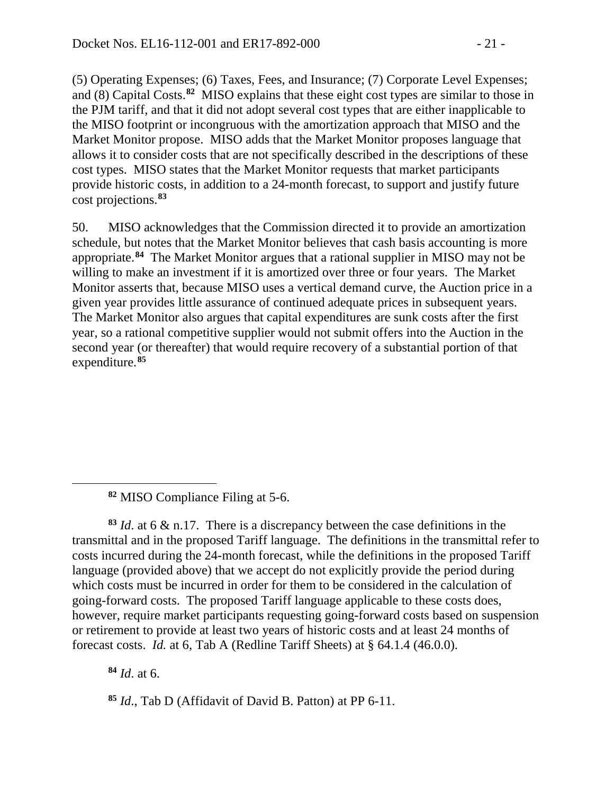(5) Operating Expenses; (6) Taxes, Fees, and Insurance; (7) Corporate Level Expenses; and (8) Capital Costs.**[82](#page-20-0)** MISO explains that these eight cost types are similar to those in the PJM tariff, and that it did not adopt several cost types that are either inapplicable to the MISO footprint or incongruous with the amortization approach that MISO and the Market Monitor propose. MISO adds that the Market Monitor proposes language that allows it to consider costs that are not specifically described in the descriptions of these cost types. MISO states that the Market Monitor requests that market participants provide historic costs, in addition to a 24-month forecast, to support and justify future cost projections.**[83](#page-20-1)**

50. MISO acknowledges that the Commission directed it to provide an amortization schedule, but notes that the Market Monitor believes that cash basis accounting is more appropriate.**[84](#page-20-2)** The Market Monitor argues that a rational supplier in MISO may not be willing to make an investment if it is amortized over three or four years. The Market Monitor asserts that, because MISO uses a vertical demand curve, the Auction price in a given year provides little assurance of continued adequate prices in subsequent years. The Market Monitor also argues that capital expenditures are sunk costs after the first year, so a rational competitive supplier would not submit offers into the Auction in the second year (or thereafter) that would require recovery of a substantial portion of that expenditure.**[85](#page-20-3)**

<span id="page-20-1"></span>**<sup>83</sup>** *Id*. at 6 & n.17. There is a discrepancy between the case definitions in the transmittal and in the proposed Tariff language. The definitions in the transmittal refer to costs incurred during the 24-month forecast, while the definitions in the proposed Tariff language (provided above) that we accept do not explicitly provide the period during which costs must be incurred in order for them to be considered in the calculation of going-forward costs. The proposed Tariff language applicable to these costs does, however, require market participants requesting going-forward costs based on suspension or retirement to provide at least two years of historic costs and at least 24 months of forecast costs. *Id.* at 6, Tab A (Redline Tariff Sheets) at § 64.1.4 (46.0.0).

<span id="page-20-2"></span>**<sup>84</sup>** *Id*. at 6.

<span id="page-20-0"></span> $\overline{a}$ 

<span id="page-20-3"></span>**<sup>85</sup>** *Id*., Tab D (Affidavit of David B. Patton) at PP 6-11.

**<sup>82</sup>** MISO Compliance Filing at 5-6.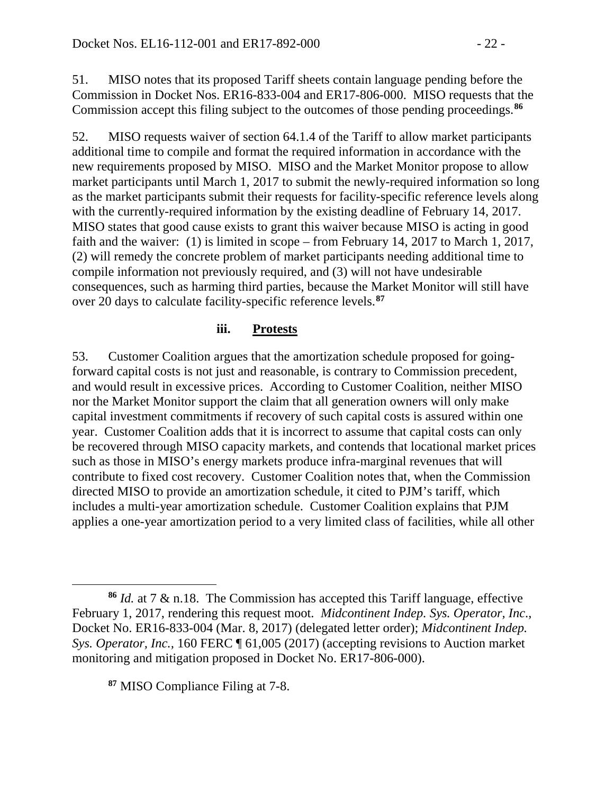51. MISO notes that its proposed Tariff sheets contain language pending before the Commission in Docket Nos. ER16-833-004 and ER17-806-000. MISO requests that the Commission accept this filing subject to the outcomes of those pending proceedings.**[86](#page-21-0)**

52. MISO requests waiver of section 64.1.4 of the Tariff to allow market participants additional time to compile and format the required information in accordance with the new requirements proposed by MISO. MISO and the Market Monitor propose to allow market participants until March 1, 2017 to submit the newly-required information so long as the market participants submit their requests for facility-specific reference levels along with the currently-required information by the existing deadline of February 14, 2017. MISO states that good cause exists to grant this waiver because MISO is acting in good faith and the waiver: (1) is limited in scope – from February 14, 2017 to March 1, 2017, (2) will remedy the concrete problem of market participants needing additional time to compile information not previously required, and (3) will not have undesirable consequences, such as harming third parties, because the Market Monitor will still have over 20 days to calculate facility-specific reference levels.**[87](#page-21-1)**

### **iii. Protests**

53. Customer Coalition argues that the amortization schedule proposed for goingforward capital costs is not just and reasonable, is contrary to Commission precedent, and would result in excessive prices. According to Customer Coalition, neither MISO nor the Market Monitor support the claim that all generation owners will only make capital investment commitments if recovery of such capital costs is assured within one year. Customer Coalition adds that it is incorrect to assume that capital costs can only be recovered through MISO capacity markets, and contends that locational market prices such as those in MISO's energy markets produce infra-marginal revenues that will contribute to fixed cost recovery. Customer Coalition notes that, when the Commission directed MISO to provide an amortization schedule, it cited to PJM's tariff, which includes a multi-year amortization schedule. Customer Coalition explains that PJM applies a one-year amortization period to a very limited class of facilities, while all other

<span id="page-21-1"></span>**<sup>87</sup>** MISO Compliance Filing at 7-8.

 $\overline{a}$ 

<span id="page-21-0"></span>**<sup>86</sup>** *Id.* at 7 & n.18. The Commission has accepted this Tariff language, effective February 1, 2017, rendering this request moot. *Midcontinent Indep. Sys. Operator, Inc*., Docket No. ER16-833-004 (Mar. 8, 2017) (delegated letter order); *Midcontinent Indep. Sys. Operator, Inc.,* 160 FERC ¶ 61,005 (2017) (accepting revisions to Auction market monitoring and mitigation proposed in Docket No. ER17-806-000).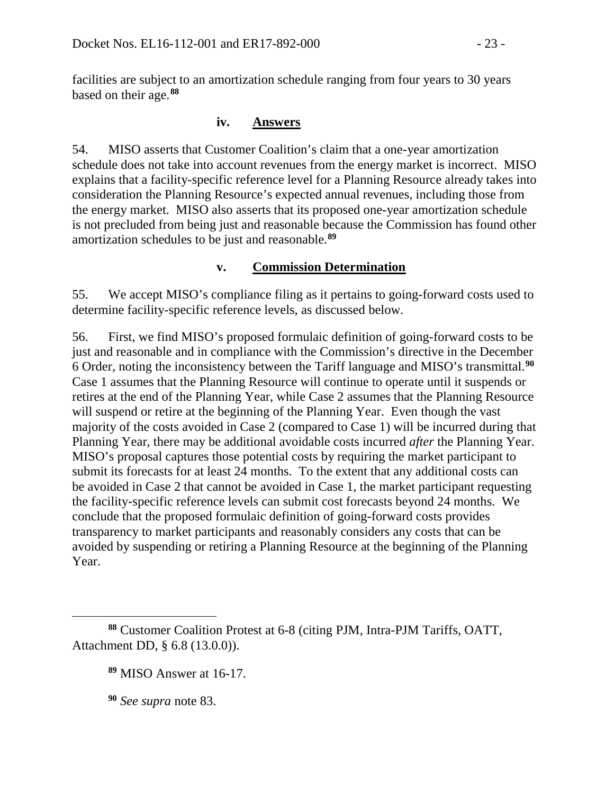facilities are subject to an amortization schedule ranging from four years to 30 years based on their age.**[88](#page-22-0)**

### **iv. Answers**

54. MISO asserts that Customer Coalition's claim that a one-year amortization schedule does not take into account revenues from the energy market is incorrect. MISO explains that a facility-specific reference level for a Planning Resource already takes into consideration the Planning Resource's expected annual revenues, including those from the energy market. MISO also asserts that its proposed one-year amortization schedule is not precluded from being just and reasonable because the Commission has found other amortization schedules to be just and reasonable.**[89](#page-22-1)**

## **v. Commission Determination**

55. We accept MISO's compliance filing as it pertains to going-forward costs used to determine facility-specific reference levels, as discussed below.

56. First, we find MISO's proposed formulaic definition of going-forward costs to be just and reasonable and in compliance with the Commission's directive in the December 6 Order, noting the inconsistency between the Tariff language and MISO's transmittal. **[90](#page-22-2)** Case 1 assumes that the Planning Resource will continue to operate until it suspends or retires at the end of the Planning Year, while Case 2 assumes that the Planning Resource will suspend or retire at the beginning of the Planning Year. Even though the vast majority of the costs avoided in Case 2 (compared to Case 1) will be incurred during that Planning Year, there may be additional avoidable costs incurred *after* the Planning Year. MISO's proposal captures those potential costs by requiring the market participant to submit its forecasts for at least 24 months. To the extent that any additional costs can be avoided in Case 2 that cannot be avoided in Case 1, the market participant requesting the facility-specific reference levels can submit cost forecasts beyond 24 months. We conclude that the proposed formulaic definition of going-forward costs provides transparency to market participants and reasonably considers any costs that can be avoided by suspending or retiring a Planning Resource at the beginning of the Planning Year.

**<sup>90</sup>** *See supra* note 83.

 $\overline{a}$ 

<span id="page-22-2"></span><span id="page-22-1"></span><span id="page-22-0"></span>**<sup>88</sup>** Customer Coalition Protest at 6-8 (citing PJM, Intra-PJM Tariffs, OATT, Attachment DD, § 6.8 (13.0.0)).

**<sup>89</sup>** MISO Answer at 16-17.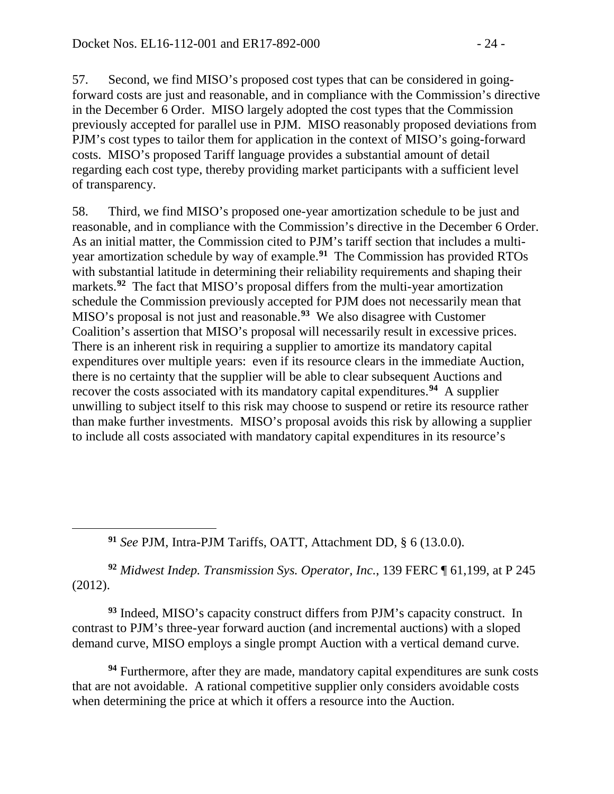57. Second, we find MISO's proposed cost types that can be considered in goingforward costs are just and reasonable, and in compliance with the Commission's directive in the December 6 Order. MISO largely adopted the cost types that the Commission previously accepted for parallel use in PJM. MISO reasonably proposed deviations from PJM's cost types to tailor them for application in the context of MISO's going-forward costs. MISO's proposed Tariff language provides a substantial amount of detail regarding each cost type, thereby providing market participants with a sufficient level of transparency.

58. Third, we find MISO's proposed one-year amortization schedule to be just and reasonable, and in compliance with the Commission's directive in the December 6 Order. As an initial matter, the Commission cited to PJM's tariff section that includes a multiyear amortization schedule by way of example.**[91](#page-23-0)** The Commission has provided RTOs with substantial latitude in determining their reliability requirements and shaping their markets.<sup>[92](#page-23-1)</sup> The fact that MISO's proposal differs from the multi-year amortization schedule the Commission previously accepted for PJM does not necessarily mean that MISO's proposal is not just and reasonable.**[93](#page-23-2)** We also disagree with Customer Coalition's assertion that MISO's proposal will necessarily result in excessive prices. There is an inherent risk in requiring a supplier to amortize its mandatory capital expenditures over multiple years: even if its resource clears in the immediate Auction, there is no certainty that the supplier will be able to clear subsequent Auctions and recover the costs associated with its mandatory capital expenditures.**[94](#page-23-3)** A supplier unwilling to subject itself to this risk may choose to suspend or retire its resource rather than make further investments. MISO's proposal avoids this risk by allowing a supplier to include all costs associated with mandatory capital expenditures in its resource's

**<sup>91</sup>** *See* PJM, Intra-PJM Tariffs, OATT, Attachment DD, § 6 (13.0.0).

<span id="page-23-0"></span> $\overline{a}$ 

<span id="page-23-1"></span>**<sup>92</sup>** *Midwest Indep. Transmission Sys. Operator, Inc.*, 139 FERC ¶ 61,199, at P 245 (2012).

<span id="page-23-2"></span>**<sup>93</sup>** Indeed, MISO's capacity construct differs from PJM's capacity construct. In contrast to PJM's three-year forward auction (and incremental auctions) with a sloped demand curve, MISO employs a single prompt Auction with a vertical demand curve.

<span id="page-23-3"></span>**<sup>94</sup>** Furthermore, after they are made, mandatory capital expenditures are sunk costs that are not avoidable. A rational competitive supplier only considers avoidable costs when determining the price at which it offers a resource into the Auction.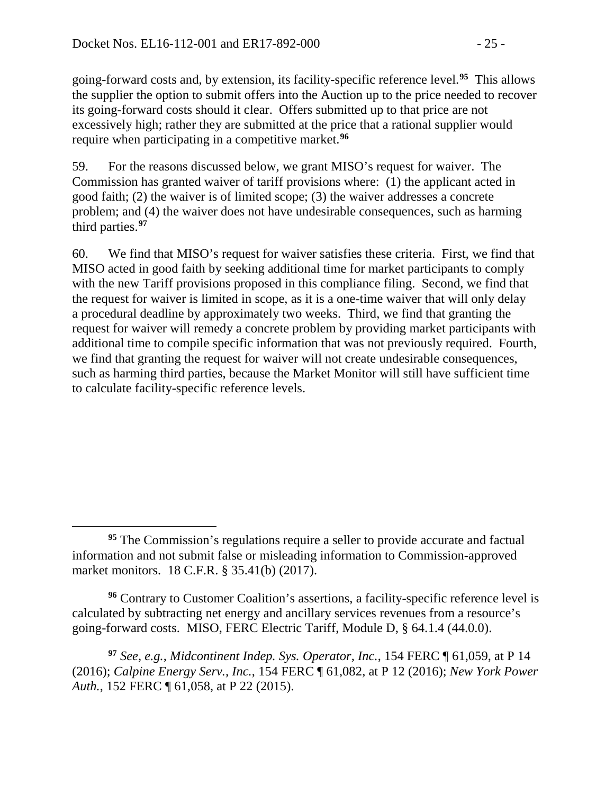going-forward costs and, by extension, its facility-specific reference level.**[95](#page-24-0)** This allows the supplier the option to submit offers into the Auction up to the price needed to recover its going-forward costs should it clear. Offers submitted up to that price are not excessively high; rather they are submitted at the price that a rational supplier would require when participating in a competitive market.**[96](#page-24-1)**

59. For the reasons discussed below, we grant MISO's request for waiver. The Commission has granted waiver of tariff provisions where: (1) the applicant acted in good faith; (2) the waiver is of limited scope; (3) the waiver addresses a concrete problem; and (4) the waiver does not have undesirable consequences, such as harming third parties.**[97](#page-24-2)**

60. We find that MISO's request for waiver satisfies these criteria. First, we find that MISO acted in good faith by seeking additional time for market participants to comply with the new Tariff provisions proposed in this compliance filing. Second, we find that the request for waiver is limited in scope, as it is a one-time waiver that will only delay a procedural deadline by approximately two weeks. Third, we find that granting the request for waiver will remedy a concrete problem by providing market participants with additional time to compile specific information that was not previously required. Fourth, we find that granting the request for waiver will not create undesirable consequences, such as harming third parties, because the Market Monitor will still have sufficient time to calculate facility-specific reference levels.

<span id="page-24-1"></span>**<sup>96</sup>** Contrary to Customer Coalition's assertions, a facility-specific reference level is calculated by subtracting net energy and ancillary services revenues from a resource's going-forward costs. MISO, FERC Electric Tariff, Module D, § 64.1.4 (44.0.0).

<span id="page-24-2"></span>**<sup>97</sup>** *See, e.g., Midcontinent Indep. Sys. Operator, Inc.*, 154 FERC ¶ 61,059, at P 14 (2016); *Calpine Energy Serv., Inc.*, 154 FERC ¶ 61,082, at P 12 (2016); *New York Power Auth.*, 152 FERC ¶ 61,058, at P 22 (2015).

<span id="page-24-0"></span> $\overline{a}$ **<sup>95</sup>** The Commission's regulations require a seller to provide accurate and factual information and not submit false or misleading information to Commission-approved market monitors. 18 C.F.R. § 35.41(b) (2017).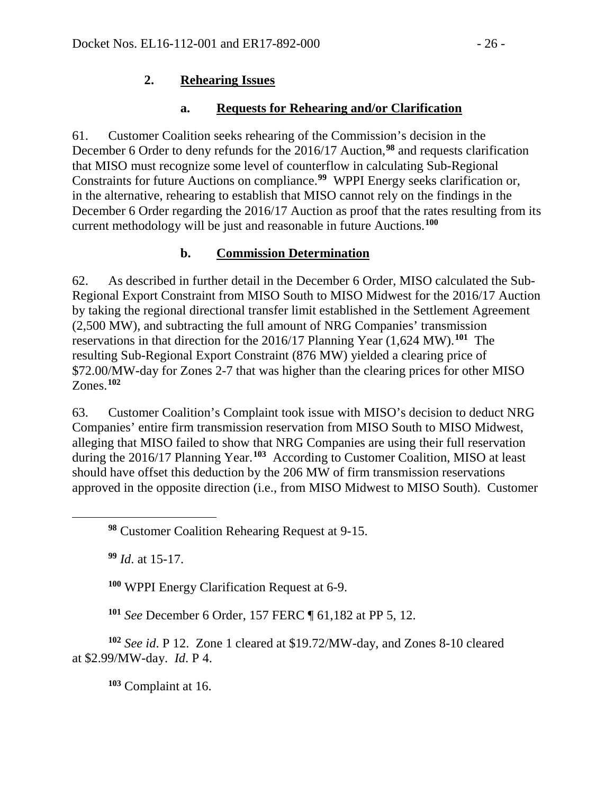### **2. Rehearing Issues**

## **a. Requests for Rehearing and/or Clarification**

61. Customer Coalition seeks rehearing of the Commission's decision in the December 6 Order to deny refunds for the 2016/17 Auction,**[98](#page-25-0)** and requests clarification that MISO must recognize some level of counterflow in calculating Sub-Regional Constraints for future Auctions on compliance.**[99](#page-25-1)** WPPI Energy seeks clarification or, in the alternative, rehearing to establish that MISO cannot rely on the findings in the December 6 Order regarding the 2016/17 Auction as proof that the rates resulting from its current methodology will be just and reasonable in future Auctions.**[100](#page-25-2)**

## **b. Commission Determination**

62. As described in further detail in the December 6 Order, MISO calculated the Sub-Regional Export Constraint from MISO South to MISO Midwest for the 2016/17 Auction by taking the regional directional transfer limit established in the Settlement Agreement (2,500 MW), and subtracting the full amount of NRG Companies' transmission reservations in that direction for the 2016/17 Planning Year (1,624 MW).**[101](#page-25-3)** The resulting Sub-Regional Export Constraint (876 MW) yielded a clearing price of \$72.00/MW-day for Zones 2-7 that was higher than the clearing prices for other MISO Zones.**[102](#page-25-4)**

63. Customer Coalition's Complaint took issue with MISO's decision to deduct NRG Companies' entire firm transmission reservation from MISO South to MISO Midwest, alleging that MISO failed to show that NRG Companies are using their full reservation during the 2016/17 Planning Year.**[103](#page-25-5)** According to Customer Coalition, MISO at least should have offset this deduction by the 206 MW of firm transmission reservations approved in the opposite direction (i.e., from MISO Midwest to MISO South). Customer

**<sup>99</sup>** *Id*. at 15-17.

<span id="page-25-1"></span><span id="page-25-0"></span> $\overline{a}$ 

**<sup>100</sup>** WPPI Energy Clarification Request at 6-9.

**<sup>101</sup>** *See* December 6 Order, 157 FERC ¶ 61,182 at PP 5, 12.

<span id="page-25-5"></span><span id="page-25-4"></span><span id="page-25-3"></span><span id="page-25-2"></span>**<sup>102</sup>** *See id*. P 12. Zone 1 cleared at \$19.72/MW-day, and Zones 8-10 cleared at \$2.99/MW-day. *Id*. P 4.

**<sup>103</sup>** Complaint at 16.

**<sup>98</sup>** Customer Coalition Rehearing Request at 9-15.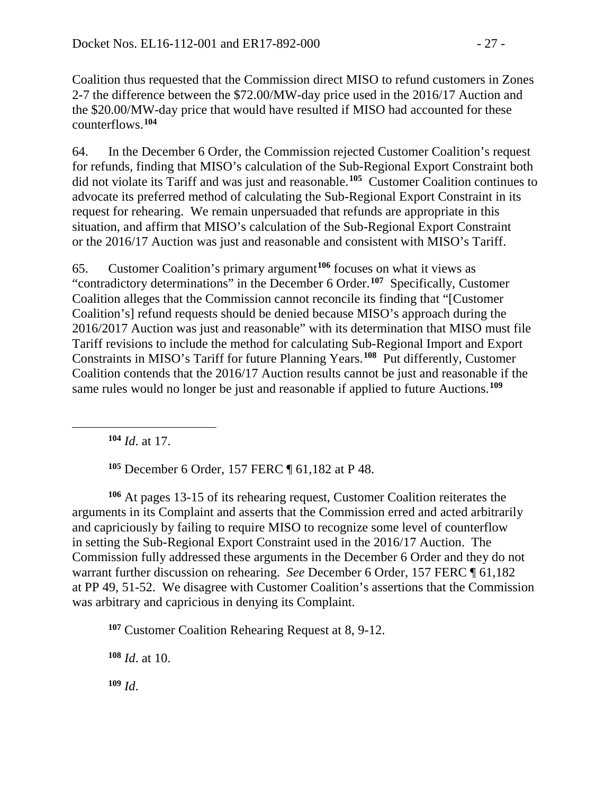Coalition thus requested that the Commission direct MISO to refund customers in Zones 2-7 the difference between the \$72.00/MW-day price used in the 2016/17 Auction and the \$20.00/MW-day price that would have resulted if MISO had accounted for these counterflows.**[104](#page-26-0)**

64. In the December 6 Order, the Commission rejected Customer Coalition's request for refunds, finding that MISO's calculation of the Sub-Regional Export Constraint both did not violate its Tariff and was just and reasonable.**[105](#page-26-1)** Customer Coalition continues to advocate its preferred method of calculating the Sub-Regional Export Constraint in its request for rehearing. We remain unpersuaded that refunds are appropriate in this situation, and affirm that MISO's calculation of the Sub-Regional Export Constraint or the 2016/17 Auction was just and reasonable and consistent with MISO's Tariff.

65. Customer Coalition's primary argument**[106](#page-26-2)** focuses on what it views as "contradictory determinations" in the December 6 Order.**[107](#page-26-3)** Specifically, Customer Coalition alleges that the Commission cannot reconcile its finding that "[Customer Coalition's] refund requests should be denied because MISO's approach during the 2016/2017 Auction was just and reasonable" with its determination that MISO must file Tariff revisions to include the method for calculating Sub-Regional Import and Export Constraints in MISO's Tariff for future Planning Years.**[108](#page-26-4)** Put differently, Customer Coalition contends that the 2016/17 Auction results cannot be just and reasonable if the same rules would no longer be just and reasonable if applied to future Auctions.**[109](#page-26-5)**

**<sup>104</sup>** *Id*. at 17.

<span id="page-26-0"></span> $\overline{a}$ 

**<sup>105</sup>** December 6 Order, 157 FERC ¶ 61,182 at P 48.

<span id="page-26-2"></span><span id="page-26-1"></span>**<sup>106</sup>** At pages 13-15 of its rehearing request, Customer Coalition reiterates the arguments in its Complaint and asserts that the Commission erred and acted arbitrarily and capriciously by failing to require MISO to recognize some level of counterflow in setting the Sub-Regional Export Constraint used in the 2016/17 Auction. The Commission fully addressed these arguments in the December 6 Order and they do not warrant further discussion on rehearing. *See* December 6 Order, 157 FERC ¶ 61,182 at PP 49, 51-52. We disagree with Customer Coalition's assertions that the Commission was arbitrary and capricious in denying its Complaint.

<span id="page-26-3"></span>**<sup>107</sup>** Customer Coalition Rehearing Request at 8, 9-12.

<span id="page-26-4"></span>**<sup>108</sup>** *Id*. at 10.

<span id="page-26-5"></span>**<sup>109</sup>** *Id*.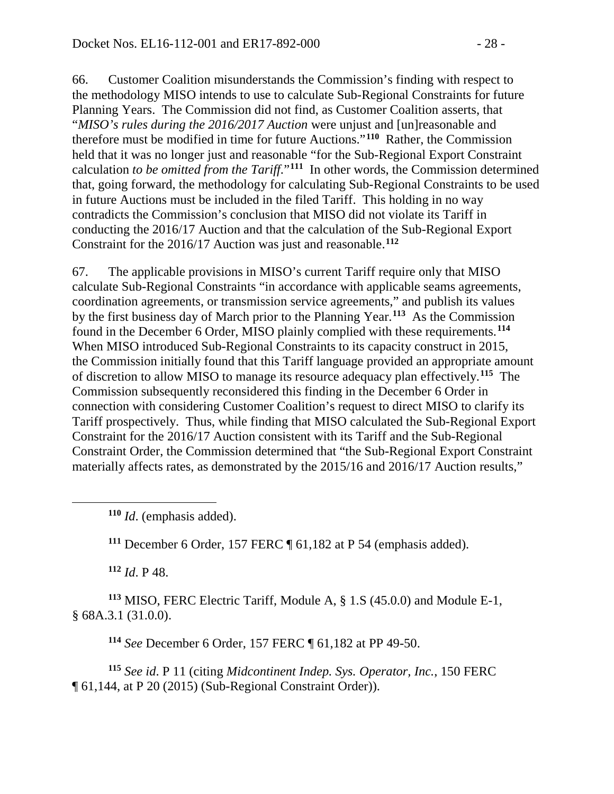66. Customer Coalition misunderstands the Commission's finding with respect to the methodology MISO intends to use to calculate Sub-Regional Constraints for future Planning Years. The Commission did not find, as Customer Coalition asserts, that "*MISO's rules during the 2016/2017 Auction* were unjust and [un]reasonable and therefore must be modified in time for future Auctions."**[110](#page-27-0)** Rather, the Commission held that it was no longer just and reasonable "for the Sub-Regional Export Constraint calculation *to be omitted from the Tariff*."**[111](#page-27-1)** In other words, the Commission determined that, going forward, the methodology for calculating Sub-Regional Constraints to be used in future Auctions must be included in the filed Tariff. This holding in no way contradicts the Commission's conclusion that MISO did not violate its Tariff in conducting the 2016/17 Auction and that the calculation of the Sub-Regional Export Constraint for the 2016/17 Auction was just and reasonable.**[112](#page-27-2)**

67. The applicable provisions in MISO's current Tariff require only that MISO calculate Sub-Regional Constraints "in accordance with applicable seams agreements, coordination agreements, or transmission service agreements," and publish its values by the first business day of March prior to the Planning Year.**[113](#page-27-3)** As the Commission found in the December 6 Order, MISO plainly complied with these requirements.**[114](#page-27-4)** When MISO introduced Sub-Regional Constraints to its capacity construct in 2015, the Commission initially found that this Tariff language provided an appropriate amount of discretion to allow MISO to manage its resource adequacy plan effectively.**[115](#page-27-5)** The Commission subsequently reconsidered this finding in the December 6 Order in connection with considering Customer Coalition's request to direct MISO to clarify its Tariff prospectively. Thus, while finding that MISO calculated the Sub-Regional Export Constraint for the 2016/17 Auction consistent with its Tariff and the Sub-Regional Constraint Order, the Commission determined that "the Sub-Regional Export Constraint materially affects rates, as demonstrated by the 2015/16 and 2016/17 Auction results,"

**<sup>110</sup>** *Id*. (emphasis added).

**<sup>111</sup>** December 6 Order, 157 FERC ¶ 61,182 at P 54 (emphasis added).

**<sup>112</sup>** *Id*. P 48.

<span id="page-27-1"></span><span id="page-27-0"></span> $\overline{a}$ 

<span id="page-27-3"></span><span id="page-27-2"></span>**<sup>113</sup>** MISO, FERC Electric Tariff, Module A, § 1.S (45.0.0) and Module E-1, § 68A.3.1 (31.0.0).

**<sup>114</sup>** *See* December 6 Order, 157 FERC ¶ 61,182 at PP 49-50.

<span id="page-27-5"></span><span id="page-27-4"></span>**<sup>115</sup>** *See id*. P 11 (citing *Midcontinent Indep. Sys. Operator, Inc.*, 150 FERC ¶ 61,144, at P 20 (2015) (Sub-Regional Constraint Order)).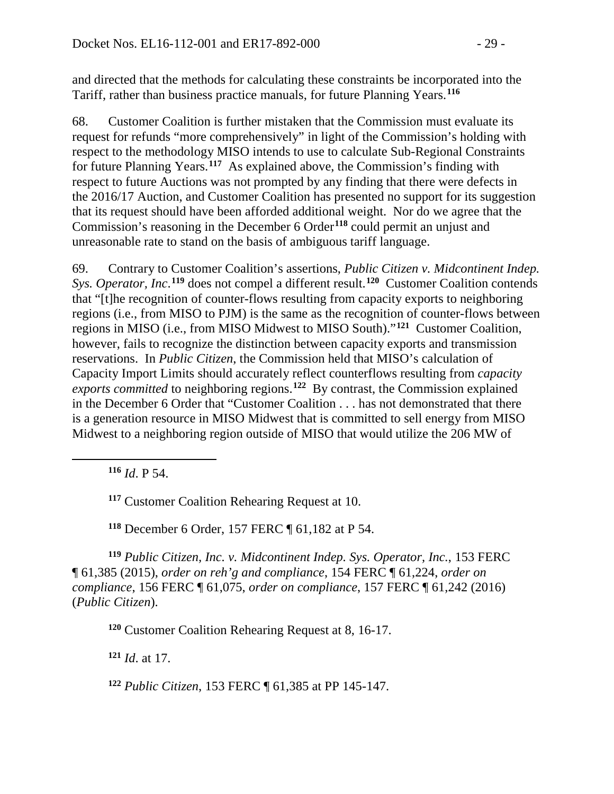and directed that the methods for calculating these constraints be incorporated into the Tariff, rather than business practice manuals, for future Planning Years.**[116](#page-28-0)**

68. Customer Coalition is further mistaken that the Commission must evaluate its request for refunds "more comprehensively" in light of the Commission's holding with respect to the methodology MISO intends to use to calculate Sub-Regional Constraints for future Planning Years.**[117](#page-28-1)** As explained above, the Commission's finding with respect to future Auctions was not prompted by any finding that there were defects in the 2016/17 Auction, and Customer Coalition has presented no support for its suggestion that its request should have been afforded additional weight. Nor do we agree that the Commission's reasoning in the December 6 Order**[118](#page-28-2)** could permit an unjust and unreasonable rate to stand on the basis of ambiguous tariff language.

69. Contrary to Customer Coalition's assertions, *Public Citizen v. Midcontinent Indep. Sys. Operator, Inc*. **[119](#page-28-3)** does not compel a different result.**[120](#page-28-4)** Customer Coalition contends that "[t]he recognition of counter-flows resulting from capacity exports to neighboring regions (i.e., from MISO to PJM) is the same as the recognition of counter-flows between regions in MISO (i.e., from MISO Midwest to MISO South)."**[121](#page-28-5)** Customer Coalition, however, fails to recognize the distinction between capacity exports and transmission reservations. In *Public Citizen*, the Commission held that MISO's calculation of Capacity Import Limits should accurately reflect counterflows resulting from *capacity exports committed* to neighboring regions.**[122](#page-28-6)** By contrast, the Commission explained in the December 6 Order that "Customer Coalition . . . has not demonstrated that there is a generation resource in MISO Midwest that is committed to sell energy from MISO Midwest to a neighboring region outside of MISO that would utilize the 206 MW of

**<sup>116</sup>** *Id*. P 54.

<span id="page-28-1"></span><span id="page-28-0"></span> $\overline{a}$ 

**<sup>117</sup>** Customer Coalition Rehearing Request at 10.

**<sup>118</sup>** December 6 Order, 157 FERC ¶ 61,182 at P 54.

<span id="page-28-4"></span><span id="page-28-3"></span><span id="page-28-2"></span>**<sup>119</sup>** *Public Citizen, Inc. v. Midcontinent Indep. Sys. Operator, Inc.*, 153 FERC ¶ 61,385 (2015), *order on reh'g and compliance*, 154 FERC ¶ 61,224, *order on compliance*, 156 FERC ¶ 61,075, *order on compliance*, 157 FERC ¶ 61,242 (2016) (*Public Citizen*).

**<sup>120</sup>** Customer Coalition Rehearing Request at 8, 16-17.

<span id="page-28-5"></span>**<sup>121</sup>** *Id*. at 17.

<span id="page-28-6"></span>**<sup>122</sup>** *Public Citizen*, 153 FERC ¶ 61,385 at PP 145-147.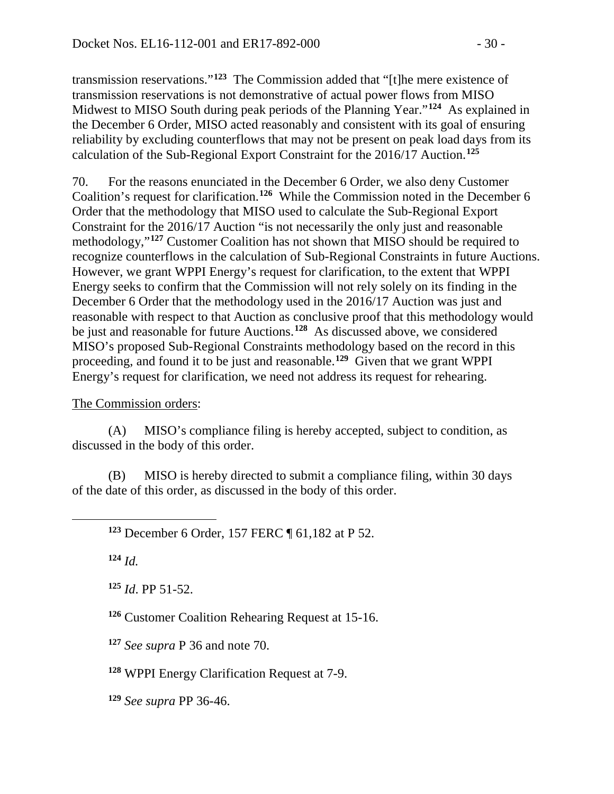transmission reservations."**[123](#page-29-0)** The Commission added that "[t]he mere existence of transmission reservations is not demonstrative of actual power flows from MISO Midwest to MISO South during peak periods of the Planning Year."**[124](#page-29-1)** As explained in the December 6 Order, MISO acted reasonably and consistent with its goal of ensuring reliability by excluding counterflows that may not be present on peak load days from its calculation of the Sub-Regional Export Constraint for the 2016/17 Auction.**[125](#page-29-2)**

70. For the reasons enunciated in the December 6 Order, we also deny Customer Coalition's request for clarification. **[126](#page-29-3)** While the Commission noted in the December 6 Order that the methodology that MISO used to calculate the Sub-Regional Export Constraint for the 2016/17 Auction "is not necessarily the only just and reasonable methodology,"**[127](#page-29-4)** Customer Coalition has not shown that MISO should be required to recognize counterflows in the calculation of Sub-Regional Constraints in future Auctions. However, we grant WPPI Energy's request for clarification, to the extent that WPPI Energy seeks to confirm that the Commission will not rely solely on its finding in the December 6 Order that the methodology used in the 2016/17 Auction was just and reasonable with respect to that Auction as conclusive proof that this methodology would be just and reasonable for future Auctions. **[128](#page-29-5)** As discussed above, we considered MISO's proposed Sub-Regional Constraints methodology based on the record in this proceeding, and found it to be just and reasonable.**[129](#page-29-6)** Given that we grant WPPI Energy's request for clarification, we need not address its request for rehearing.

## The Commission orders:

(A) MISO's compliance filing is hereby accepted, subject to condition, as discussed in the body of this order.

(B) MISO is hereby directed to submit a compliance filing, within 30 days of the date of this order, as discussed in the body of this order.

**<sup>123</sup>** December 6 Order, 157 FERC ¶ 61,182 at P 52.

**<sup>124</sup>** *Id.*

<span id="page-29-2"></span><span id="page-29-1"></span><span id="page-29-0"></span> $\overline{a}$ 

**<sup>125</sup>** *Id*. PP 51-52.

<span id="page-29-3"></span>**<sup>126</sup>** Customer Coalition Rehearing Request at 15-16.

<span id="page-29-4"></span>**<sup>127</sup>** *See supra* P 36 and note 70.

<span id="page-29-5"></span>**<sup>128</sup>** WPPI Energy Clarification Request at 7-9.

<span id="page-29-6"></span>**<sup>129</sup>** *See supra* PP 36-46.